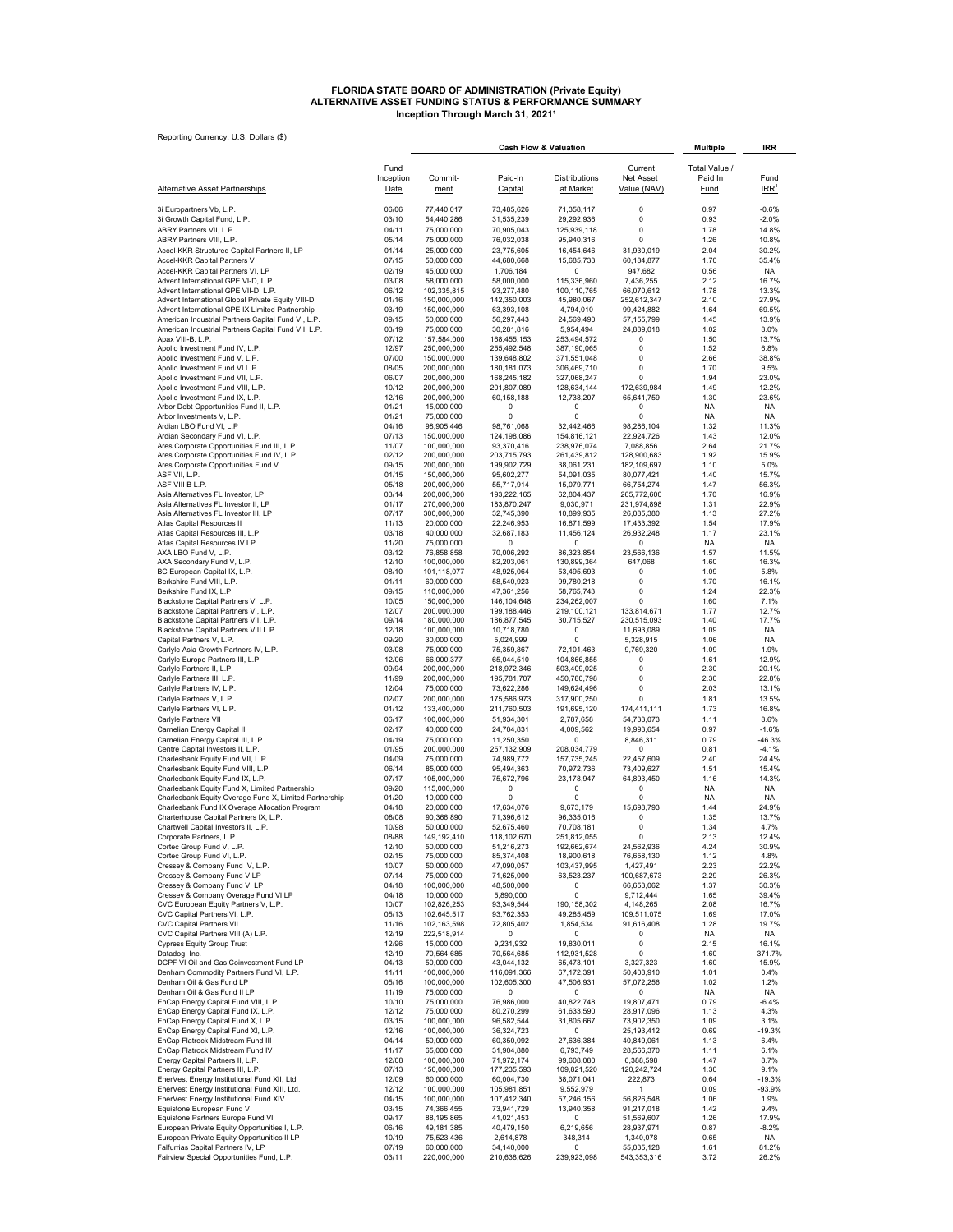## FLORIDA STATE BOARD OF ADMINISTRATION (Private Equity)<br>ALTERNATIVE ASSET FUNDING STATUS & PERFORMANCE SUMMARY<br>Inception Through March 31, 2021<sup>1</sup>

| Reporting Currency: U.S. Dollars (\$)                                                                     |                   | <b>Cash Flow &amp; Valuation</b> |                            |                            |                            |                          | IRR                |  |
|-----------------------------------------------------------------------------------------------------------|-------------------|----------------------------------|----------------------------|----------------------------|----------------------------|--------------------------|--------------------|--|
|                                                                                                           |                   |                                  |                            |                            |                            | <b>Multiple</b>          |                    |  |
|                                                                                                           | Fund<br>Inception | Commit-                          | Paid-In                    | Distributions              | Current<br>Net Asset       | Total Value /<br>Paid In | Fund               |  |
| <b>Alternative Asset Partnerships</b>                                                                     | Date              | ment                             | Capital                    | at Market                  | Value (NAV)                | <b>Fund</b>              | IRR <sup>1</sup>   |  |
| 3i Europartners Vb, L.P.<br>3i Growth Capital Fund, L.P.                                                  | 06/06<br>03/10    | 77,440,017<br>54,440,286         | 73,485,626<br>31,535,239   | 71,358,117<br>29,292,936   | 0<br>0                     | 0.97<br>0.93             | $-0.6%$<br>$-2.0%$ |  |
| ABRY Partners VII, L.P.                                                                                   | 04/11             | 75,000,000                       | 70,905,043                 | 125,939,118                | 0                          | 1.78                     | 14.8%              |  |
| ABRY Partners VIII, L.P                                                                                   | 05/14             | 75,000,000                       | 76,032,038                 | 95,940,316                 | 0                          | 1.26                     | 10.8%              |  |
| Accel-KKR Structured Capital Partners II, LP<br>Accel-KKR Capital Partners V                              | 01/14<br>07/15    | 25,000,000<br>50,000,000         | 23,775,605<br>44,680,668   | 16,454,646<br>15,685,733   | 31,930,019<br>60,184,877   | 2.04<br>1.70             | 30.2%<br>35.4%     |  |
| Accel-KKR Capital Partners VI, LP                                                                         | 02/19             | 45,000,000                       | 1,706,184                  | 0                          | 947,682                    | 0.56                     | NA.                |  |
| Advent International GPE VI-D, L.P.<br>Advent International GPE VII-D, L.P.                               | 03/08<br>06/12    | 58,000,000<br>102,335,815        | 58,000,000<br>93.277.480   | 115,336,960<br>100,110,765 | 7,436,255<br>66,070,612    | 2.12<br>1.78             | 16.7%<br>13.3%     |  |
| Advent International Global Private Equity VIII-D                                                         | 01/16             | 150,000,000                      | 142,350,003                | 45,980,067                 | 252,612,347                | 2.10                     | 27.9%              |  |
| Advent International GPE IX Limited Partnership                                                           | 03/19             | 150,000,000                      | 63,393,108                 | 4,794,010                  | 99,424,882                 | 1.64                     | 69.5%              |  |
| American Industrial Partners Capital Fund VI, L.P.<br>American Industrial Partners Capital Fund VII, L.P. | 09/15<br>03/19    | 50,000,000<br>75,000,000         | 56,297,443<br>30,281,816   | 24,569,490<br>5,954,494    | 57, 155, 799<br>24,889,018 | 1.45<br>1.02             | 13.9%<br>8.0%      |  |
| Apax VIII-B, L.P.                                                                                         | 07/12             | 157,584,000                      | 168,455,153                | 253,494,572                | 0                          | 1.50                     | 13.7%              |  |
| Apollo Investment Fund IV, L.P.<br>Apollo Investment Fund V, L.P.                                         | 12/97<br>07/00    | 250,000,000<br>150,000,000       | 255,492,548<br>139,648,802 | 387,190,065<br>371,551,048 | 0<br>0                     | 1.52<br>2.66             | 6.8%<br>38.8%      |  |
| Apollo Investment Fund VI L.P.                                                                            | 08/05             | 200,000,000                      | 180, 181, 073              | 306,469,710                | 0<br>0                     | 1.70                     | 9.5%               |  |
| Apollo Investment Fund VII, L.P.<br>Apollo Investment Fund VIII, L.P.                                     | 06/07<br>10/12    | 200,000,000<br>200,000,000       | 168,245,182<br>201,807,089 | 327,068,247<br>128,634,144 | 172,639,984                | 1.94<br>1.49             | 23.0%<br>12.2%     |  |
| Apollo Investment Fund IX, L.P.                                                                           | 12/16             | 200,000,000                      | 60,158,188                 | 12,738,207                 | 65,641,759                 | 1.30                     | 23.6%              |  |
| Arbor Debt Opportunities Fund II, L.P.<br>Arbor Investments V, L.P.                                       | 01/21<br>01/21    | 15,000,000<br>75,000,000         | 0<br>0                     | 0<br>0                     | 0<br>0                     | <b>NA</b><br><b>NA</b>   | NA<br><b>NA</b>    |  |
| Ardian LBO Fund VI, L.P                                                                                   | 04/16             | 98,905,446                       | 98,761,068                 | 32,442,466                 | 98,286,104                 | 1.32                     | 11.3%              |  |
| Ardian Secondary Fund VI, L.P.<br>Ares Corporate Opportunities Fund III, L.P.                             | 07/13<br>11/07    | 150,000,000<br>100,000,000       | 124,198,086<br>93,370,416  | 154,816,121<br>238,976,074 | 22,924,726<br>7,088,856    | 1.43<br>2.64             | 12.0%<br>21.7%     |  |
| Ares Corporate Opportunities Fund IV, L.P.                                                                | 02/12             | 200,000,000                      | 203,715,793                | 261,439,812                | 128,900,683                | 1.92                     | 15.9%              |  |
| Ares Corporate Opportunities Fund V<br>ASF VII, L.P.                                                      | 09/15<br>01/15    | 200,000,000<br>150,000,000       | 199,902,729<br>95,602,277  | 38,061,231<br>54,091,035   | 182,109,697<br>80,077,421  | 1.10<br>1.40             | 5.0%<br>15.7%      |  |
| ASF VIII B L.P.                                                                                           | 05/18             | 200,000,000                      | 55,717,914                 | 15,079,771                 | 66,754,274                 | 1.47                     | 56.3%              |  |
| Asia Alternatives FL Investor, LP<br>Asia Alternatives FL Investor II, LP                                 | 03/14<br>01/17    | 200,000,000<br>270,000,000       | 193,222,165<br>183,870,247 | 62,804,437<br>9,030,971    | 265,772,600<br>231,974,898 | 1.70<br>1.31             | 16.9%<br>22.9%     |  |
| Asia Alternatives FL Investor III, LP                                                                     | 07/17             | 300,000,000                      | 32,745,390                 | 10,899,935                 | 26,085,380                 | 1.13                     | 27.2%              |  |
| Atlas Capital Resources II<br>Atlas Capital Resources III, L.P.                                           | 11/13<br>03/18    | 20,000,000<br>40,000,000         | 22,246,953<br>32,687,183   | 16,871,599<br>11,456,124   | 17,433,392<br>26,932,248   | 1.54<br>1.17             | 17.9%<br>23.1%     |  |
| Atlas Capital Resources IV LP                                                                             | 11/20             | 75,000,000                       | 0                          | 0                          | 0                          | <b>NA</b>                | <b>NA</b>          |  |
| AXA LBO Fund V, L.P.                                                                                      | 03/12             | 76,858,858                       | 70,006,292                 | 86,323,854                 | 23,566,136                 | 1.57                     | 11.5%              |  |
| AXA Secondary Fund V, L.P.<br>BC European Capital IX, L.P.                                                | 12/10<br>08/10    | 100,000,000<br>101,118,077       | 82,203,061<br>48,925,064   | 130,899,364<br>53,495,693  | 647,068<br>0               | 1.60<br>1.09             | 16.3%<br>5.8%      |  |
| Berkshire Fund VIII, L.P.                                                                                 | 01/11             | 60,000,000                       | 58,540,923                 | 99,780,218                 | 0                          | 1.70                     | 16.1%              |  |
| Berkshire Fund IX, L.P.<br>Blackstone Capital Partners V, L.P.                                            | 09/15<br>10/05    | 110,000,000<br>150,000,000       | 47,361,256<br>146,104,648  | 58,765,743<br>234,262,007  | 0<br>0                     | 1.24<br>1.60             | 22.3%<br>7.1%      |  |
| Blackstone Capital Partners VI, L.P.                                                                      | 12/07             | 200,000,000                      | 199,188,446                | 219,100,121                | 133,814,671                | 1.77                     | 12.7%              |  |
| Blackstone Capital Partners VII, L.P.<br>Blackstone Capital Partners VIII L.P.                            | 09/14<br>12/18    | 180,000,000<br>100,000,000       | 186,877,545<br>10,718,780  | 30,715,527<br>0            | 230,515,093<br>11,693,089  | 1.40<br>1.09             | 17.7%<br>ΝA        |  |
| Capital Partners V, L.P.                                                                                  | 09/20             | 30,000,000                       | 5,024,999                  | 0                          | 5,328,915                  | 1.06                     | NA                 |  |
| Carlyle Asia Growth Partners IV, L.P.<br>Carlyle Europe Partners III, L.P.                                | 03/08<br>12/06    | 75,000,000<br>66,000,377         | 75,359,867<br>65,044,510   | 72,101,463<br>104,866,855  | 9,769,320<br>0             | 1.09<br>1.61             | 1.9%<br>12.9%      |  |
| Carlyle Partners II, L.P.                                                                                 | 09/94             | 200,000,000                      | 218,972,346                | 503.409.025                | $\Omega$                   | 2.30                     | 20.1%              |  |
| Carlyle Partners III, L.P.                                                                                | 11/99<br>12/04    | 200,000,000<br>75,000,000        | 195,781,707<br>73,622,286  | 450,780,798<br>149,624,496 | $\Omega$<br>0              | 2.30<br>2.03             | 22.8%<br>13.1%     |  |
| Carlyle Partners IV, L.P.<br>Carlyle Partners V, L.P.                                                     | 02/07             | 200,000,000                      | 175,586,973                | 317,900,250                | $\Omega$                   | 1.81                     | 13.5%              |  |
| Carlyle Partners VI, L.P.                                                                                 | 01/12             | 133,400,000                      | 211,760,503                | 191,695,120                | 174,411,111                | 1.73                     | 16.8%              |  |
| Carlyle Partners VII<br>Carnelian Energy Capital II                                                       | 06/17<br>02/17    | 100,000,000<br>40,000,000        | 51,934,301<br>24,704,831   | 2,787,658<br>4,009,562     | 54,733,073<br>19,993,654   | 1.11<br>0.97             | 8.6%<br>$-1.6%$    |  |
| Carnelian Energy Capital III, L.P.                                                                        | 04/19             | 75,000,000                       | 11,250,350                 | 0                          | 8,846,311                  | 0.79                     | -46.3%             |  |
| Centre Capital Investors II, L.P.<br>Charlesbank Equity Fund VII, L.P.                                    | 01/95<br>04/09    | 200,000,000<br>75,000,000        | 257,132,909<br>74,989,772  | 208,034,779<br>157,735,245 | 0<br>22,457,609            | 0.81<br>2.40             | $-4.1%$<br>24.4%   |  |
| Charlesbank Equity Fund VIII, L.P.                                                                        | 06/14             | 85,000,000                       | 95,494,363                 | 70,972,736                 | 73.409.627                 | 1.51                     | 15.4%              |  |
| Charlesbank Equity Fund IX, L.P.                                                                          | 07/17             | 105,000,000                      | 75,672,796                 | 23,178,947<br>0            | 64,893,450                 | 1.16                     | 14.3%              |  |
| Charlesbank Equity Fund X, Limited Partnership<br>Charlesbank Equity Overage Fund X, Limited Partnership  | 09/20<br>01/20    | 115,000,000<br>10,000,000        | 0<br>0                     | 0                          | 0<br>0                     | NA<br>NA                 | NA.<br>ΝA          |  |
| Charlesbank Fund IX Overage Allocation Program                                                            | 04/18             | 20,000,000                       | 17,634,076                 | 9,673,179                  | 15,698,793                 | 1.44                     | 24.9%              |  |
| Charterhouse Capital Partners IX, L.P.<br>Chartwell Capital Investors II, L.P.                            | 08/08<br>10/98    | 90,366,890<br>50,000,000         | 71,396,612<br>52,675,460   | 96,335,016<br>70,708,181   | 0<br>υ                     | 1.35<br>1.34             | 13.7%<br>$4.1\%$   |  |
| Corporate Partners, L.P.                                                                                  | 08/88             | 149, 192, 410                    | 118,102,670                | 251,812,055                | 0                          | 2.13                     | 12.4%              |  |
| Cortec Group Fund V, L.P.<br>Cortec Group Fund VI, L.P.                                                   | 12/10<br>02/15    | 50,000,000<br>75,000,000         | 51,216,273<br>85,374,408   | 192,662,674<br>18,900,618  | 24,562,936<br>76,658,130   | 4.24<br>1.12             | 30.9%<br>4.8%      |  |
| Cressey & Company Fund IV, L.P.                                                                           | 10/07             | 50,000,000                       | 47,090,057                 | 103,437,995                | 1,427,491                  | 2.23                     | 22.2%              |  |
| Cressey & Company Fund V LP<br>Cressey & Company Fund VI LP                                               | 07/14<br>04/18    | 75,000,000<br>100,000,000        | 71,625,000<br>48,500,000   | 63,523,237<br>0            | 100,687,673<br>66,653,062  | 2.29<br>1.37             | 26.3%<br>30.3%     |  |
| Cressey & Company Overage Fund VI LP                                                                      | 04/18             | 10,000,000                       | 5,890,000                  | 0                          | 9,712,444                  | 1.65                     | 39.4%              |  |
| CVC European Equity Partners V, L.P.<br>CVC Capital Partners VI, L.P.                                     | 10/07<br>05/13    | 102,826,253<br>102,645,517       | 93,349,544<br>93,762,353   | 190,158,302<br>49,285,459  | 4,148,265<br>109,511,075   | 2.08<br>1.69             | 16.7%<br>17.0%     |  |
| CVC Capital Partners VII                                                                                  | 11/16             | 102,163,598                      | 72,805,402                 | 1,854,534                  | 91,616,408                 | 1.28                     | 19.7%              |  |
| CVC Capital Partners VIII (A) L.P.<br><b>Cypress Equity Group Trust</b>                                   | 12/19<br>12/96    | 222,518,914<br>15,000,000        | 0<br>9,231,932             | 0<br>19,830,011            | 0<br>0                     | NA<br>2.15               | NA<br>16.1%        |  |
| Datadog, Inc.                                                                                             | 12/19             | 70,564,685                       | 70,564,685                 | 112,931,528                | 0                          | 1.60                     | 371.7%             |  |
| DCPF VI Oil and Gas Coinvestment Fund LP                                                                  | 04/13             | 50,000,000                       | 43,044,132                 | 65,473,101                 | 3,327,323                  | 1.60                     | 15.9%              |  |
| Denham Commodity Partners Fund VI, L.P.<br>Denham Oil & Gas Fund LP                                       | 11/11<br>05/16    | 100,000,000<br>100,000,000       | 116,091,366<br>102,605,300 | 67,172,391<br>47,506,931   | 50,408,910<br>57,072,256   | 1.01<br>1.02             | 0.4%<br>1.2%       |  |
| Denham Oil & Gas Fund II LP                                                                               | 11/19             | 75,000,000                       | 0                          | 0                          | 0                          | NA                       | NA.                |  |
| EnCap Energy Capital Fund VIII, L.P.<br>EnCap Energy Capital Fund IX, L.P.                                | 10/10<br>12/12    | 75,000,000<br>75,000,000         | 76,986,000<br>80,270,299   | 40,822,748<br>61,633,590   | 19,807,471<br>28,917,096   | 0.79<br>1.13             | $-6.4%$<br>4.3%    |  |
| EnCap Energy Capital Fund X, L.P.                                                                         | 03/15             | 100,000,000                      | 96,582,544                 | 31,805,667                 | 73,902,350                 | 1.09                     | 3.1%               |  |
| EnCap Energy Capital Fund XI, L.P.<br>EnCap Flatrock Midstream Fund III                                   | 12/16<br>04/14    | 100,000,000<br>50,000,000        | 36,324,723<br>60,350,092   | 0<br>27,636,384            | 25, 193, 412<br>40,849,061 | 0.69<br>1.13             | $-19.3%$<br>6.4%   |  |
| EnCap Flatrock Midstream Fund IV                                                                          | 11/17             | 65,000,000                       | 31,904,880                 | 6,793,749                  | 28,566,370                 | 1.11                     | 6.1%               |  |
| Energy Capital Partners II, L.P.<br>Energy Capital Partners III, L.P.                                     | 12/08             | 100,000,000                      | 71,972,174<br>177,235,593  | 99,608,080                 | 6,388,598                  | 1.47<br>1.30             | 8.7%<br>9.1%       |  |
| EnerVest Energy Institutional Fund XII, Ltd                                                               | 07/13<br>12/09    | 150,000,000<br>60,000,000        | 60,004,730                 | 109,821,520<br>38,071,041  | 120,242,724<br>222,873     | 0.64                     | $-19.3%$           |  |
| EnerVest Energy Institutional Fund XIII, Ltd.                                                             | 12/12             | 100,000,000                      | 105,981,851                | 9,552,979                  | 1                          | 0.09                     | $-93.9%$           |  |
| EnerVest Energy Institutional Fund XIV<br>Equistone European Fund V                                       | 04/15<br>03/15    | 100,000,000<br>74,366,455        | 107,412,340<br>73,941,729  | 57,246,156<br>13,940,358   | 56,826,548<br>91,217,018   | 1.06<br>1.42             | 1.9%<br>9.4%       |  |
| Equistone Partners Europe Fund VI                                                                         | 09/17             | 88,195,865                       | 41,021,453                 | 0                          | 51,569,607                 | 1.26                     | 17.9%              |  |
| European Private Equity Opportunities I, L.P.<br>European Private Equity Opportunities II LP              | 06/16<br>10/19    | 49,181,385<br>75,523,436         | 40,479,150<br>2,614,878    | 6,219,656<br>348,314       | 28,937,971<br>1,340,078    | 0.87<br>0.65             | $-8.2%$<br>NA      |  |
| Falfurrias Capital Partners IV, LP                                                                        | 07/19             | 60,000,000                       | 34,140,000                 | 0                          | 55,035,128                 | 1.61                     | 81.2%              |  |
| Fairview Special Opportunities Fund, L.P.                                                                 | 03/11             | 220,000,000                      | 210,638,626                | 239,923,098                | 543,353,316                | 3.72                     | 26.2%              |  |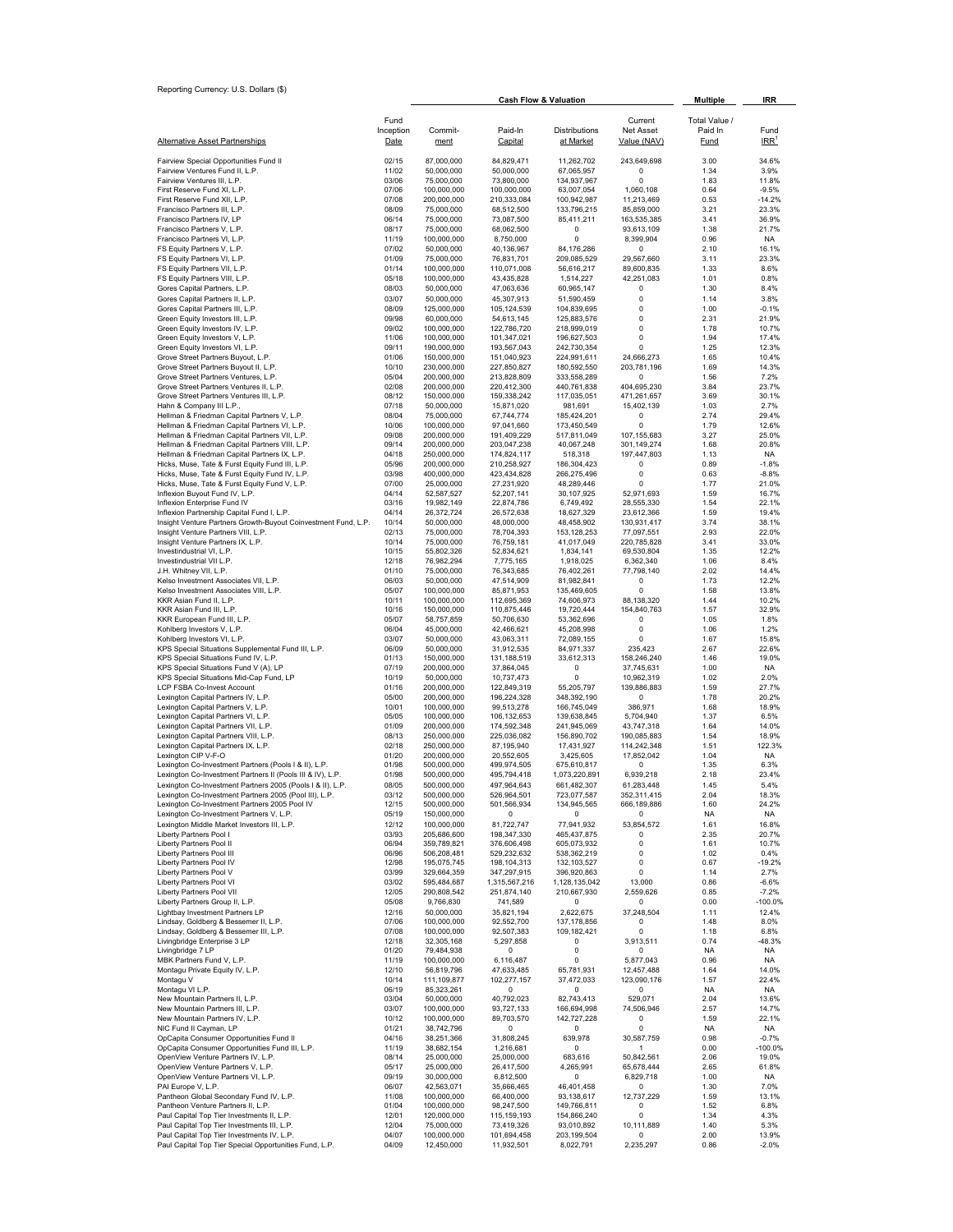| Reporting Currency: U.S. Dollars (\$)                                                                        |                   |                                  |                            |                              | <b>Multiple</b>            | IRR                    |                          |
|--------------------------------------------------------------------------------------------------------------|-------------------|----------------------------------|----------------------------|------------------------------|----------------------------|------------------------|--------------------------|
|                                                                                                              | Fund              | <b>Cash Flow &amp; Valuation</b> |                            |                              | Current                    | Total Value /          |                          |
| <u>Alternative Asset Partnerships</u>                                                                        | Inception<br>Date | Commit-<br>ment                  | Paid-In<br>Capital         | Distributions<br>at Market   | Net Asset<br>Value (NAV)   | Paid In<br><b>Fund</b> | Fund<br>IRR <sup>1</sup> |
| Fairview Special Opportunities Fund II                                                                       | 02/15             | 87,000,000                       | 84,829,471                 | 11,262,702                   | 243,649,698                | 3.00                   | 34.6%                    |
| Fairview Ventures Fund II, L.P.<br>Fairview Ventures III, L.P.                                               | 11/02<br>03/06    | 50,000,000<br>75,000,000         | 50,000,000<br>73,800,000   | 67,065,957<br>134,937,967    | 0<br>0                     | 1.34<br>1.83           | 3.9%<br>11.8%            |
| First Reserve Fund XI, L.P.                                                                                  | 07/06             | 100,000,000                      | 100,000,000                | 63,007,054                   | 1,060,108                  | 0.64                   | $-9.5%$                  |
| First Reserve Fund XII, L.P.                                                                                 | 07/08             | 200,000,000                      | 210,333,084                | 100,942,987                  | 11,213,469                 | 0.53                   | $-14.2%$                 |
| Francisco Partners III, L.P.<br>Francisco Partners IV, LP                                                    | 08/09<br>06/14    | 75,000,000<br>75,000,000         | 68,512,500<br>73,087,500   | 133,796,215<br>85,411,211    | 85,859,000<br>163,535,385  | 3.21<br>3.41           | 23.3%<br>36.9%           |
| Francisco Partners V, L.P.                                                                                   | 08/17             | 75,000,000                       | 68,062,500                 | 0                            | 93,613,109                 | 1.38                   | 21.7%                    |
| Francisco Partners VI, L.P.<br>FS Equity Partners V, L.P.                                                    | 11/19<br>07/02    | 100,000,000<br>50,000,000        | 8,750,000<br>40,136,967    | 0<br>84,176,286              | 8,399,904<br>0             | 0.96<br>2.10           | NA.<br>16.1%             |
| FS Equity Partners VI, L.P.                                                                                  | 01/09             | 75,000,000                       | 76,831,701                 | 209,085,529                  | 29,567,660                 | 3.11                   | 23.3%                    |
| FS Equity Partners VII, L.P.                                                                                 | 01/14             | 100,000,000                      | 110,071,008                | 56,616,217                   | 89,600,835                 | 1.33                   | 8.6%                     |
| FS Equity Partners VIII, L.P.<br>Gores Capital Partners, L.P.                                                | 05/18<br>08/03    | 100,000,000<br>50,000,000        | 43,435,828<br>47,063,636   | 1,514,227<br>60,965,147      | 42,251,083<br>0            | 1.01<br>1.30           | 0.8%<br>8.4%             |
| Gores Capital Partners II, L.P.                                                                              | 03/07             | 50,000,000                       | 45,307,913                 | 51,590,459                   | 0                          | 1.14                   | 3.8%                     |
| Gores Capital Partners III, L.P.                                                                             | 08/09             | 125,000,000                      | 105, 124, 539              | 104,839,695                  | 0                          | 1.00                   | $-0.1%$                  |
| Green Equity Investors III, L.P.<br>Green Equity Investors IV, L.P.                                          | 09/98<br>09/02    | 60,000,000<br>100,000,000        | 54,613,145<br>122,786,720  | 125,883,576<br>218,999,019   | 0<br>0                     | 2.31<br>1.78           | 21.9%<br>10.7%           |
| Green Equity Investors V, L.P.                                                                               | 11/06             | 100,000,000                      | 101,347,021                | 196,627,503                  | 0                          | 1.94                   | 17.4%                    |
| Green Equity Investors VI, L.P.<br>Grove Street Partners Buyout, L.P.                                        | 09/11<br>01/06    | 190,000,000<br>150,000,000       | 193,567,043<br>151,040,923 | 242,730,354<br>224,991,611   | 0<br>24,666,273            | 1.25<br>1.65           | 12.3%<br>10.4%           |
| Grove Street Partners Buyout II, L.P.                                                                        | 10/10             | 230,000,000                      | 227,850,827                | 180,592,550                  | 203,781,196                | 1.69                   | 14.3%                    |
| Grove Street Partners Ventures, L.P.<br>Grove Street Partners Ventures II, L.P.                              | 05/04<br>02/08    | 200,000,000<br>200,000,000       | 213,828,809                | 333,558,289<br>440,761,838   | 0<br>404,695,230           | 1.56<br>3.84           | 7.2%<br>23.7%            |
| Grove Street Partners Ventures III, L.P.                                                                     | 08/12             | 150,000,000                      | 220,412,300<br>159,338,242 | 117,035,051                  | 471,261,657                | 3.69                   | 30.1%                    |
| Hahn & Company III L.P.,                                                                                     | 07/18             | 50,000,000                       | 15,871,020                 | 981,691                      | 15,402,139                 | 1.03                   | 2.7%                     |
| Hellman & Friedman Capital Partners V, L.P.<br>Hellman & Friedman Capital Partners VI, L.P.                  | 08/04<br>10/06    | 75,000,000<br>100,000,000        | 67,744,774<br>97,041,660   | 185,424,201<br>173,450,549   | 0<br>0                     | 2.74<br>1.79           | 29.4%<br>12.6%           |
| Hellman & Friedman Capital Partners VII, L.P.                                                                | 09/08             | 200,000,000                      | 191,409,229                | 517,811,049                  | 107,155,683                | 3.27                   | 25.0%                    |
| Hellman & Friedman Capital Partners VIII, L.P.<br>Hellman & Friedman Capital Partners IX, L.P.               | 09/14<br>04/18    | 200,000,000<br>250,000,000       | 203,047,238<br>174,824,117 | 40,067,248                   | 301,149,274<br>197,447,803 | 1.68                   | 20.8%<br>NA              |
| Hicks, Muse, Tate & Furst Equity Fund III, L.P.                                                              | 05/96             | 200,000,000                      | 210,258,927                | 518,318<br>186,304,423       | 0                          | 1.13<br>0.89           | $-1.8%$                  |
| Hicks, Muse, Tate & Furst Equity Fund IV, L.P.                                                               | 03/98             | 400,000,000                      | 423,434,828                | 266,275,496                  | 0                          | 0.63                   | $-8.8%$                  |
| Hicks, Muse, Tate & Furst Equity Fund V, L.P.<br>Inflexion Buyout Fund IV, L.P.                              | 07/00<br>04/14    | 25,000,000<br>52,587,527         | 27,231,920<br>52,207,141   | 48,289,446<br>30,107,925     | $\Omega$<br>52,971,693     | 1.77<br>1.59           | 21.0%<br>16.7%           |
| Inflexion Enterprise Fund IV                                                                                 | 03/16             | 19,982,149                       | 22,874,786                 | 6,749,492                    | 28,555,330                 | 1.54                   | 22.1%                    |
| Inflexion Partnership Capital Fund I, L.P.<br>Insight Venture Partners Growth-Buyout Coinvestment Fund, L.P. | 04/14<br>10/14    | 26,372,724<br>50,000,000         | 26,572,638<br>48,000,000   | 18,627,329<br>48,458,902     | 23,612,366<br>130,931,417  | 1.59<br>3.74           | 19.4%<br>38.1%           |
| Insight Venture Partners VIII, L.P.                                                                          | 02/13             | 75,000,000                       | 78,704,393                 | 153,128,253                  | 77,097,551                 | 2.93                   | 22.0%                    |
| Insight Venture Partners IX, L.P.                                                                            | 10/14             | 75,000,000                       | 76,759,181                 | 41,017,049                   | 220,785,828                | 3.41                   | 33.0%                    |
| Investindustrial VI, L.P.<br>Investindustrial VII L.P.                                                       | 10/15<br>12/18    | 55,802,326<br>76,982,294         | 52,834,621<br>7,775,165    | 1,834,141<br>1,918,025       | 69,530,804<br>6,362,340    | 1.35<br>1.06           | 12.2%<br>8.4%            |
| J.H. Whitney VII, L.P.                                                                                       | 01/10             | 75,000,000                       | 76,343,685                 | 76,402,261                   | 77,798,140                 | 2.02                   | 14.4%                    |
| Kelso Investment Associates VII, L.P.<br>Kelso Investment Associates VIII, L.P.                              | 06/03<br>05/07    | 50,000,000<br>100,000,000        | 47,514,909<br>85,871,953   | 81,982,841<br>135,469,605    | 0<br>0                     | 1.73<br>1.58           | 12.2%<br>13.8%           |
| KKR Asian Fund II, L.P.                                                                                      | 10/11             | 100,000,000                      | 112,695,369                | 74,606,973                   | 88,138,320                 | 1.44                   | 10.2%                    |
| KKR Asian Fund III, L.P.                                                                                     | 10/16             | 150,000,000                      | 110,875,446                | 19,720,444                   | 154,840,763                | 1.57                   | 32.9%                    |
| KKR European Fund III, L.P.<br>Kohlberg Investors V, L.P.                                                    | 05/07<br>06/04    | 58,757,859<br>45,000,000         | 50,706,630<br>42,466,621   | 53,362,696<br>45,208,998     | 0<br>0                     | 1.05<br>1.06           | 1.8%<br>1.2%             |
| Kohlberg Investors VI, L.P.                                                                                  | 03/07             | 50,000,000                       | 43,063,311                 | 72,089,155                   | 0                          | 1.67                   | 15.8%                    |
| KPS Special Situations Supplemental Fund III, L.P.<br>KPS Special Situations Fund IV, L.P.                   | 06/09<br>01/13    | 50,000,000<br>150,000,000        | 31,912,535<br>131,188,519  | 84,971,337<br>33,612,313     | 235,423<br>158,246,240     | 2.67<br>1.46           | 22.6%<br>19.0%           |
| KPS Special Situations Fund V (A), LP                                                                        | 07/19             | 200,000,000                      | 37,864,045                 | 0                            | 37,745,631                 | 1.00                   | NA.                      |
| KPS Special Situations Mid-Cap Fund, LP                                                                      | 10/19             | 50,000,000                       | 10,737,473                 | 0                            | 10,962,319                 | 1.02                   | 2.0%                     |
| LCP FSBA Co-Invest Account<br>Lexington Capital Partners IV, L.P.                                            | 01/16<br>05/00    | 200,000,000<br>200,000,000       | 122,849,319<br>196,224,328 | 55,205,797<br>348,392,190    | 139,886,883<br>0           | 1.59<br>1.78           | 27.7%<br>20.2%           |
| Lexington Capital Partners V, L.P.                                                                           | 10/01             | 100.000.000                      | 99.513.278                 | 166,745,049                  | 386,971                    | 1.68                   | 18.9%                    |
| Lexington Capital Partners VI, L.P.<br>Lexington Capital Partners VII, L.P.                                  | 05/05<br>01/09    | 100,000,000<br>200,000,000       | 106, 132, 653              | 139,638,845<br>241,945,069   | 5,704,940<br>43,747,318    | 1.37<br>1.64           | 6.5%<br>14.0%            |
| Lexington Capital Partners VIII, L.P.                                                                        | 08/13             | 250,000,000                      | 174,592,348<br>225,036,082 | 156,890,702                  | 190,085,883                | 1.54                   | 18.9%                    |
| Lexington Capital Partners IX, L.P.                                                                          | 02/18             | 250,000,000                      | 87,195,940                 | 17,431,927                   | 114,242,348                | 1.51                   | 122.3%                   |
| Lexington CIP V-F-O<br>Lexington Co-Investment Partners (Pools I & II), L.P.                                 | 01/20<br>01/98    | 200,000,000<br>500,000,000       | 20,552,605<br>499,974,505  | 3,425,605<br>675,610,817     | 17,852,042<br>0            | 1.04<br>1.35           | <b>NA</b><br>6.3%        |
| Lexington Co-Investment Partners II (Pools III & IV), L.P                                                    | 01/98             | 500,000,000                      | 495,794,418                | 1.073.220.891                | 6939218                    | 2.18                   | 23.4%                    |
| Lexington Co-Investment Partners 2005 (Pools I & II), L.P.                                                   | 08/05             | 500,000,000                      | 497,964,643                | 661,482,307                  | 61,283,448                 | 1.45                   | 5.4%                     |
| Lexington Co-Investment Partners 2005 (Pool III), L.P.<br>Lexington Co-Investment Partners 2005 Pool IV      | 03/12<br>12/15    | 500,000,000<br>500,000,000       | 526,964,501<br>501,566,934 | 723,077,587<br>134,945,565   | 352,311,415<br>666,189,886 | 2.04<br>1.60           | 18.3%<br>24.2%           |
| Lexington Co-Investment Partners V, L.P.                                                                     | 05/19             | 150,000,000                      | $^{\circ}$                 | 0                            | 0                          | NA                     | <b>NA</b>                |
| Lexington Middle Market Investors III, L.P.<br>Liberty Partners Pool I                                       | 12/12<br>03/93    | 100,000,000<br>205,686,600       | 81,722,747<br>198,347,330  | 77,941,932<br>465,437,875    | 53,854,572<br>0            | 1.61<br>2.35           | 16.8%<br>20.7%           |
| Liberty Partners Pool II                                                                                     | 06/94             | 359,789,821                      | 376,606,498                | 605,073,932                  | 0                          | 1.61                   | 10.7%                    |
| Liberty Partners Pool III<br>Liberty Partners Pool IV                                                        | 06/96<br>12/98    | 506,208,481<br>195,075,745       | 529,232,632<br>198,104,313 | 538,362,219<br>132,103,527   | 0<br>0                     | 1.02<br>0.67           | 0.4%<br>$-19.2%$         |
| Liberty Partners Pool V                                                                                      | 03/99             | 329,664,359                      | 347,297,915                | 396,920,863                  | 0                          | 1.14                   | 2.7%                     |
| Liberty Partners Pool VI                                                                                     | 03/02             | 595,484,687                      | 1,315,567,216              | 1,128,135,042                | 13,000                     | 0.86                   | $-6.6%$                  |
| Liberty Partners Pool VII<br>Liberty Partners Group II, L.P.                                                 | 12/05<br>05/08    | 290,808,542<br>9,766,830         | 251,874,140<br>741,589     | 210,667,930<br>0             | 2,559,626<br>0             | 0.85<br>0.00           | $-7.2%$<br>-100.0%       |
| Lightbay Investment Partners LP                                                                              | 12/16             | 50,000,000                       | 35,821,194                 | 2,622,675                    | 37,248,504                 | 1.11                   | 12.4%                    |
| Lindsay, Goldberg & Bessemer II, L.P.<br>Lindsay, Goldberg & Bessemer III, L.P.                              | 07/06<br>07/08    | 100,000,000<br>100,000,000       | 92,552,700<br>92,507,383   | 137, 178, 856<br>109,182,421 | 0<br>0                     | 1.48<br>1.18           | 8.0%<br>6.8%             |
| Livingbridge Enterprise 3 LP                                                                                 | 12/18             | 32,305,168                       | 5,297,858                  | 0                            | 3,913,511                  | 0.74                   | $-48.3%$                 |
| Livingbridge 7 LP                                                                                            | 01/20             | 79,484,938                       | 0                          | 0                            | 0                          | <b>NA</b>              | NA.                      |
| MBK Partners Fund V, L.P.<br>Montagu Private Equity IV, L.P.                                                 | 11/19<br>12/10    | 100,000,000<br>56,819,796        | 6,116,487<br>47,633,485    | 0<br>65,781,931              | 5,877,043<br>12,457,488    | 0.96<br>1.64           | NA.<br>14.0%             |
| Montagu V                                                                                                    | 10/14             | 111,109,877                      | 102,277,157                | 37,472,033                   | 123,090,176                | 1.57                   | 22.4%                    |
| Montagu VI L.P.<br>New Mountain Partners II, L.P.                                                            | 06/19<br>03/04    | 85,323,261<br>50,000,000         | 0<br>40,792,023            | 0<br>82,743,413              | 0<br>529,071               | <b>NA</b><br>2.04      | <b>NA</b><br>13.6%       |
| New Mountain Partners III, L.P.                                                                              | 03/07             | 100,000,000                      | 93,727,133                 | 166,694,998                  | 74,506,946                 | 2.57                   | 14.7%                    |
| New Mountain Partners IV, L.P.                                                                               | 10/12             | 100,000,000                      | 89,703,570                 | 142,727,228                  | 0                          | 1.59                   | 22.1%                    |
| NIC Fund II Cayman, LP<br>OpCapita Consumer Opportunities Fund II                                            | 01/21<br>04/16    | 38,742,796<br>38,251,366         | 0<br>31,808,245            | 0<br>639,978                 | 0<br>30,587,759            | <b>NA</b><br>0.98      | NA<br>$-0.7%$            |
| OpCapita Consumer Opportunities Fund III, L.P.                                                               | 11/19             | 38,682,154                       | 1,216,681                  | 0                            | 1                          | 0.00                   | -100.0%                  |
| OpenView Venture Partners IV, L.P.<br>OpenView Venture Partners V, L.P.                                      | 08/14<br>05/17    | 25,000,000                       | 25,000,000                 | 683,616                      | 50,842,561                 | 2.06                   | 19.0%<br>61.8%           |
| OpenView Venture Partners VI, L.P.                                                                           | 09/19             | 25,000,000<br>30,000,000         | 26,417,500<br>6,812,500    | 4,265,991<br>0               | 65,678,444<br>6,829,718    | 2.65<br>1.00           | NA.                      |
| PAI Europe V, L.P.                                                                                           | 06/07             | 42,563,071                       | 35,666,465                 | 46,401,458                   | 0                          | 1.30                   | 7.0%                     |
| Pantheon Global Secondary Fund IV, L.P.<br>Pantheon Venture Partners II, L.P.                                | 11/08<br>01/04    | 100,000,000<br>100,000,000       | 66,400,000<br>98,247,500   | 93,138,617<br>149,766,811    | 12,737,229<br>0            | 1.59<br>1.52           | 13.1%<br>6.8%            |
| Paul Capital Top Tier Investments II, L.P.                                                                   | 12/01             | 120,000,000                      | 115,159,193                | 154,866,240                  | 0                          | 1.34                   | 4.3%                     |
| Paul Capital Top Tier Investments III, L.P.                                                                  | 12/04             | 75,000,000                       | 73,419,326                 | 93,010,892                   | 10,111,889                 | 1.40                   | 5.3%                     |
| Paul Capital Top Tier Investments IV, L.P.<br>Paul Capital Top Tier Special Opportunities Fund, L.P.         | 04/07<br>04/09    | 100,000,000<br>12,450,000        | 101,694,458<br>11,932,501  | 203,199,504<br>8,022,791     | 0<br>2,235,297             | 2.00<br>0.86           | 13.9%<br>$-2.0%$         |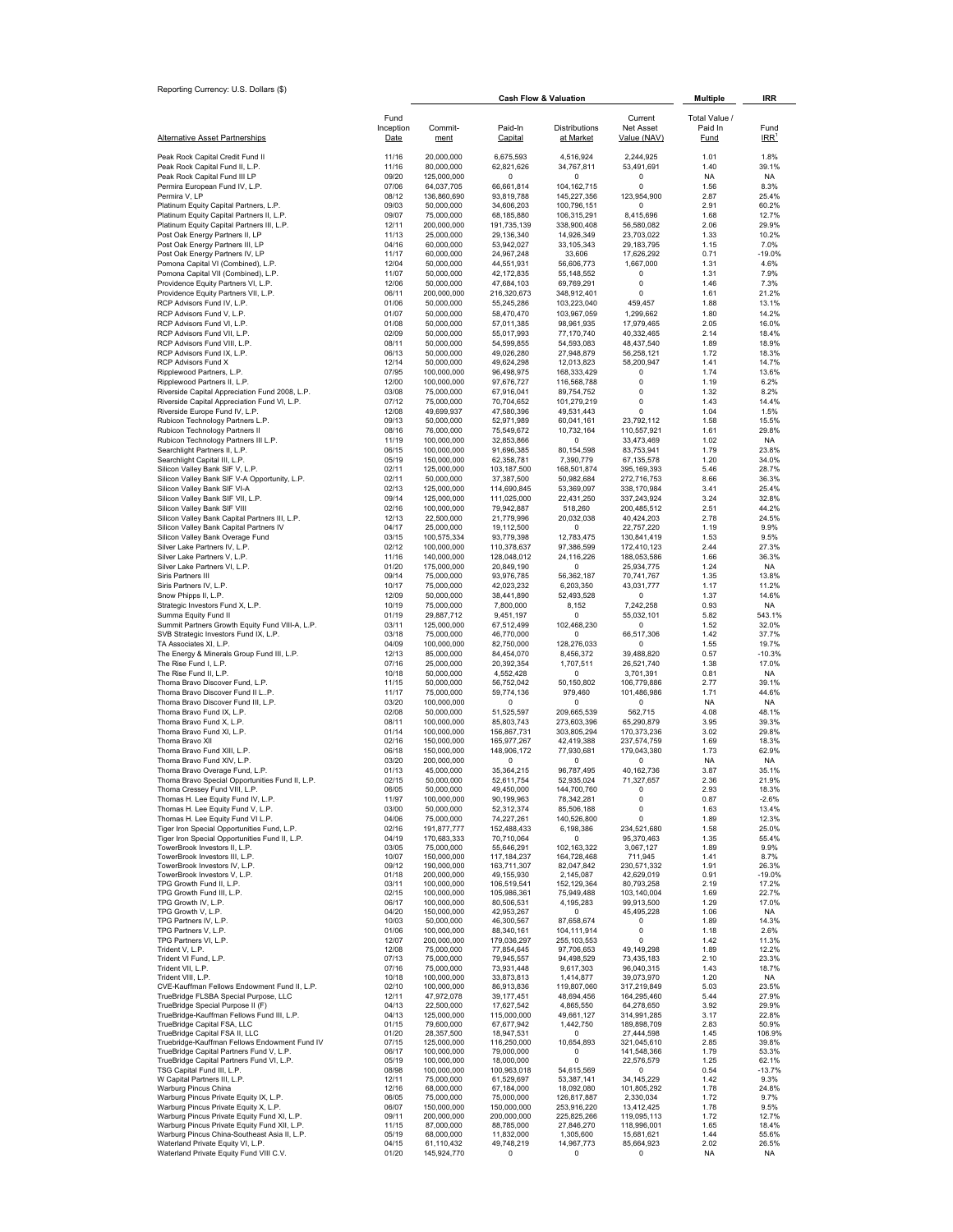|                                                                                                |                |                            |                            | <b>Cash Flow &amp; Valuation</b> |                            | <b>Multiple</b>   | IRR                |
|------------------------------------------------------------------------------------------------|----------------|----------------------------|----------------------------|----------------------------------|----------------------------|-------------------|--------------------|
|                                                                                                | Fund           |                            |                            |                                  | Current                    | Total Value /     |                    |
|                                                                                                | Inception      | Commit-                    | Paid-In                    | Distributions                    | Net Asset                  | Paid In           | Fund               |
| <b>Alternative Asset Partnerships</b>                                                          | Date           | ment                       | Capital                    | at Market                        | Value (NAV)                | Fund              | $IRR$ <sup>1</sup> |
| Peak Rock Capital Credit Fund II                                                               | 11/16          | 20,000,000                 | 6,675,593                  | 4,516,924                        | 2,244,925                  | 1.01              | 1.8%               |
| Peak Rock Capital Fund II, L.P.                                                                | 11/16          | 80,000,000                 | 62,821,626                 | 34,767,811                       | 53,491,691                 | 1.40              | 39.1%              |
| Peak Rock Capital Fund III LP                                                                  | 09/20          | 125.000.000                | 0                          | $\Omega$                         | 0                          | <b>NA</b>         | <b>NA</b>          |
| Permira European Fund IV, L.P.                                                                 | 07/06          | 64,037,705                 | 66,661,814                 | 104,162,715                      | 0                          | 1.56              | 8.3%               |
| Permira V, LP<br>Platinum Equity Capital Partners, L.P.                                        | 08/12<br>09/03 | 136,860,690<br>50,000,000  | 93,819,788<br>34,606,203   | 145,227,356<br>100,796,151       | 123,954,900<br>0           | 2.87<br>2.91      | 25.4%<br>60.2%     |
| Platinum Equity Capital Partners II, L.P.                                                      | 09/07          | 75,000,000                 | 68,185,880                 | 106,315,291                      | 8,415,696                  | 1.68              | 12.7%              |
| Platinum Equity Capital Partners III, L.P.                                                     | 12/11          | 200,000,000                | 191,735,139                | 338,900,408                      | 56,580,082                 | 2.06              | 29.9%              |
| Post Oak Energy Partners II, LP                                                                | 11/13          | 25,000,000                 | 29,136,340                 | 14,926,349                       | 23,703,022                 | 1.33              | 10.2%              |
| Post Oak Energy Partners III, LP<br>Post Oak Energy Partners IV, LP                            | 04/16<br>11/17 | 60,000,000<br>60,000,000   | 53,942,027<br>24,967,248   | 33, 105, 343<br>33,606           | 29, 183, 795<br>17,626,292 | 1.15<br>0.71      | 7.0%<br>$-19.0%$   |
| Pomona Capital VI (Combined), L.P.                                                             | 12/04          | 50,000,000                 | 44,551,931                 | 56,606,773                       | 1,667,000                  | 1.31              | 4.6%               |
| Pomona Capital VII (Combined), L.P.                                                            | 11/07          | 50,000,000                 | 42,172,835                 | 55, 148, 552                     | 0                          | 1.31              | 7.9%               |
| Providence Equity Partners VI, L.P.<br>Providence Equity Partners VII, L.P.                    | 12/06<br>06/11 | 50,000,000<br>200,000,000  | 47,684,103<br>216,320,673  | 69,769,291<br>348,912,401        | 0<br>0                     | 1.46<br>1.61      | 7.3%<br>21.2%      |
| RCP Advisors Fund IV, L.P.                                                                     | 01/06          | 50,000,000                 | 55,245,286                 | 103,223,040                      | 459,457                    | 1.88              | 13.1%              |
| RCP Advisors Fund V, L.P.                                                                      | 01/07          | 50,000,000                 | 58,470,470                 | 103,967,059                      | 1,299,662                  | 1.80              | 14.2%              |
| RCP Advisors Fund VI, L.P.                                                                     | 01/08          | 50,000,000                 | 57,011,385                 | 98,961,935                       | 17,979,465                 | 2.05              | 16.0%              |
| RCP Advisors Fund VII, L.P.                                                                    | 02/09          | 50,000,000                 | 55,017,993                 | 77,170,740                       | 40,332,465                 | 2.14              | 18.4%              |
| RCP Advisors Fund VIII, L.P.<br>RCP Advisors Fund IX, L.P.                                     | 08/11<br>06/13 | 50,000,000<br>50,000,000   | 54,599,855<br>49,026,280   | 54,593,083<br>27,948,879         | 48,437,540<br>56,258,121   | 1.89<br>1.72      | 18.9%<br>18.3%     |
| <b>RCP Advisors Fund X</b>                                                                     | 12/14          | 50,000,000                 | 49,624,298                 | 12,013,823                       | 58,200,947                 | 1.41              | 14.7%              |
| Ripplewood Partners, L.P.                                                                      | 07/95          | 100,000,000                | 96,498,975                 | 168,333,429                      | 0                          | 1.74              | 13.6%              |
| Ripplewood Partners II, L.P.                                                                   | 12/00          | 100,000,000                | 97,676,727                 | 116,568,788                      | $\mathsf 0$                | 1.19              | 6.2%               |
| Riverside Capital Appreciation Fund 2008, L.P.<br>Riverside Capital Appreciation Fund VI, L.P. | 03/08<br>07/12 | 75,000,000<br>75,000,000   | 67,916,041<br>70,704,652   | 89,754,752<br>101,279,219        | $\mathsf 0$<br>0           | 1.32<br>1.43      | 8.2%<br>14.4%      |
| Riverside Europe Fund IV, L.P.                                                                 | 12/08          | 49,699,937                 | 47,580,396                 | 49,531,443                       | 0                          | 1.04              | 1.5%               |
| Rubicon Technology Partners L.P.                                                               | 09/13          | 50,000,000                 | 52,971,989                 | 60,041,161                       | 23,792,112                 | 1.58              | 15.5%              |
| Rubicon Technology Partners II                                                                 | 08/16          | 76,000,000                 | 75,549,672                 | 10,732,164                       | 110,557,921                | 1.61              | 29.8%              |
| Rubicon Technology Partners III L.P.                                                           | 11/19          | 100,000,000                | 32,853,866                 | 0<br>80,154,598                  | 33,473,469                 | 1.02<br>1.79      | <b>NA</b>          |
| Searchlight Partners II, L.P.<br>Searchlight Capital III, L.P.                                 | 06/15<br>05/19 | 100,000,000<br>150,000,000 | 91,696,385<br>62,358,781   | 7,390,779                        | 83,753,941<br>67,135,578   | 1.20              | 23.8%<br>34.0%     |
| Silicon Valley Bank SIF V, L.P.                                                                | 02/11          | 125.000.000                | 103,187,500                | 168,501,874                      | 395,169,393                | 5.46              | 28.7%              |
| Silicon Valley Bank SIF V-A Opportunity, L.P.                                                  | 02/11          | 50,000,000                 | 37,387,500                 | 50,982,684                       | 272,716,753                | 8.66              | 36.3%              |
| Silicon Valley Bank SIF VI-A                                                                   | 02/13          | 125,000,000                | 114,690,845                | 53,369,097                       | 338,170,984                | 3.41              | 25.4%              |
| Silicon Valley Bank SIF VII, L.P.<br>Silicon Valley Bank SIF VIII                              | 09/14<br>02/16 | 125,000,000<br>100,000,000 | 111,025,000<br>79,942,887  | 22,431,250<br>518,260            | 337,243,924<br>200,485,512 | 3.24<br>2.51      | 32.8%<br>44.2%     |
| Silicon Valley Bank Capital Partners III, L.P.                                                 | 12/13          | 22,500,000                 | 21,779,996                 | 20,032,038                       | 40,424,203                 | 2.78              | 24.5%              |
| Silicon Valley Bank Capital Partners IV                                                        | 04/17          | 25,000,000                 | 19,112,500                 | 0                                | 22,757,220                 | 1.19              | 9.9%               |
| Silicon Valley Bank Overage Fund                                                               | 03/15          | 100,575,334                | 93,779,398                 | 12,783,475                       | 130,841,419                | 1.53              | 9.5%               |
| Silver Lake Partners IV, L.P.<br>Silver Lake Partners V, L.P.                                  | 02/12<br>11/16 | 100,000,000<br>140,000,000 | 110,378,637<br>128,048,012 | 97,386,599<br>24,116,226         | 172,410,123<br>188,053,586 | 2.44<br>1.66      | 27.3%<br>36.3%     |
| Silver Lake Partners VI, L.P.                                                                  | 01/20          | 175,000,000                | 20,849,190                 | 0                                | 25,934,775                 | 1.24              | <b>NA</b>          |
| Siris Partners III                                                                             | 09/14          | 75,000,000                 | 93,976,785                 | 56,362,187                       | 70,741,767                 | 1.35              | 13.8%              |
| Siris Partners IV, L.P.                                                                        | 10/17          | 75,000,000                 | 42,023,232                 | 6,203,350                        | 43,031,777                 | 1.17              | 11.2%              |
| Snow Phipps II, L.P.<br>Strategic Investors Fund X, L.P.                                       | 12/09<br>10/19 | 50,000,000<br>75,000,000   | 38,441,890<br>7,800,000    | 52,493,528<br>8,152              | 0<br>7,242,258             | 1.37<br>0.93      | 14.6%<br><b>NA</b> |
| Summa Equity Fund II                                                                           | 01/19          | 29,887,712                 | 9,451,197                  | 0                                | 55,032,101                 | 5.82              | 543.1%             |
| Summit Partners Growth Equity Fund VIII-A, L.P.                                                | 03/11          | 125,000,000                | 67,512,499                 | 102,468,230                      | 0                          | 1.52              | 32.0%              |
| SVB Strategic Investors Fund IX, L.P.                                                          | 03/18          | 75,000,000                 | 46,770,000                 | 0                                | 66,517,306                 | 1.42              | 37.7%              |
| TA Associates XI, L.P.                                                                         | 04/09          | 100,000,000                | 82,750,000                 | 128,276,033                      | 0                          | 1.55              | 19.7%              |
| The Energy & Minerals Group Fund III, L.P.<br>The Rise Fund I, L.P.                            | 12/13<br>07/16 | 85,000,000<br>25,000,000   | 84,454,070<br>20,392,354   | 8,456,372<br>1,707,511           | 39,488,820<br>26,521,740   | 0.57<br>1.38      | $-10.3%$<br>17.0%  |
| The Rise Fund II, L.P.                                                                         | 10/18          | 50,000,000                 | 4,552,428                  | 0                                | 3,701,391                  | 0.81              | <b>NA</b>          |
| Thoma Bravo Discover Fund, L.P.                                                                | 11/15          | 50,000,000                 | 56,752,042                 | 50,150,802                       | 106,779,886                | 2.77              | 39.1%              |
| Thoma Bravo Discover Fund II LP.                                                               | 11/17          | 75,000,000                 | 59,774,136                 | 979,460<br>0                     | 101,486,986<br>0           | 1.71              | 44.6%              |
| Thoma Bravo Discover Fund III, L.P.<br>Thoma Bravo Fund IX, L.P.                               | 03/20<br>02/08 | 100,000,000<br>50,000,000  | 0<br>51,525,597            | 209,665,539                      | 562,715                    | <b>NA</b><br>4.08 | <b>NA</b><br>48.1% |
| Thoma Bravo Fund X, L.P.                                                                       | 08/11          | 100,000,000                | 85,803,743                 | 273,603,396                      | 65,290,879                 | 3.95              | 39.3%              |
| Thoma Bravo Fund XI, L.P.                                                                      | 01/14          | 100,000,000                | 156,867,731                | 303,805,294                      | 170,373,236                | 3.02              | 29.8%              |
| Thoma Bravo XII<br>Thoma Bravo Fund XIII, L.P.                                                 | 02/16<br>06/18 | 150,000,000                | 165,977,267<br>148,906,172 | 42,419,388<br>77,930,681         | 237,574,759<br>179,043,380 | 1.69<br>1.73      | 18.3%<br>62.9%     |
| Thoma Bravo Fund XIV, L.P.                                                                     | 03/20          | 150,000,000<br>200,000,000 | 0                          | $\Omega$                         | 0                          | <b>NA</b>         | <b>NA</b>          |
| Thoma Bravo Overage Fund, L.P.                                                                 | 01/13          | 45,000,000                 | 35,364,215                 | 96,787,495                       | 40,162,736                 | 3.87              | 35.1%              |
| Thoma Bravo Special Opportunities Fund II, L.P.                                                | 02/15          | 50,000,000                 | 52,611,754                 | 52,935,024                       | 71,327,657                 | 2.36              | 21.9%              |
| Thoma Cressey Fund VIII, L.P.                                                                  | 06/05          | 50.000.000                 | 49.450.000                 | 144 700 760                      | $\Omega$<br>0              | 2.93              | 18.3%              |
| Thomas H. Lee Equity Fund IV, L.P.<br>Thomas H. Lee Equity Fund V, L.P.                        | 11/97<br>03/00 | 100,000,000<br>50,000,000  | 90,199,963<br>52,312,374   | 78,342,281<br>85,506,188         | 0                          | 0.87<br>1.63      | $-2.6%$<br>13.4%   |
| Thomas H. Lee Equity Fund VI L.P.                                                              | 04/06          | 75,000,000                 | 74,227,261                 | 140,526,800                      | 0                          | 1.89              | 12.3%              |
| Tiger Iron Special Opportunities Fund, L.P.                                                    | 02/16          | 191,877,777                | 152,488,433                | 6,198,386                        | 234,521,680                | 1.58              | 25.0%              |
| Tiger Iron Special Opportunities Fund II, L.P.<br>TowerBrook Investors II, L.P.                | 04/19<br>03/05 | 170,683,333<br>75,000,000  | 70,710,064<br>55,646,291   | 0<br>102,163,322                 | 95,370,463<br>3,067,127    | 1.35<br>1.89      | 55.4%<br>9.9%      |
| TowerBrook Investors III, L.P.                                                                 | 10/07          | 150,000,000                | 117, 184, 237              | 164,728,468                      | 711,945                    | 1.41              | 8.7%               |
| TowerBrook Investors IV, L.P.                                                                  | 09/12          | 190,000,000                | 163,711,307                | 82,047,842                       | 230,571,332                | 1.91              | 26.3%              |
| TowerBrook Investors V, L.P.<br>TPG Growth Fund II, L.P.                                       | 01/18<br>03/11 | 200,000,000                | 49,155,930                 | 2,145,087                        | 42,629,019                 | 0.91<br>2.19      | $-19.0%$           |
| TPG Growth Fund III, L.P.                                                                      | 02/15          | 100,000,000<br>100,000,000 | 106,519,541<br>105,986,361 | 152,129,364<br>75,949,488        | 80,793,258<br>103,140,004  | 1.69              | 17.2%<br>22.7%     |
| TPG Growth IV, L.P.                                                                            | 06/17          | 100,000,000                | 80,506,531                 | 4,195,283                        | 99,913,500                 | 1.29              | 17.0%              |
| TPG Growth V, L.P.                                                                             | 04/20          | 150,000,000                | 42,953,267                 | 0                                | 45,495,228                 | 1.06              | NA                 |
| TPG Partners IV, L.P.<br>TPG Partners V, L.P.                                                  | 10/03<br>01/06 | 50,000,000<br>100,000,000  | 46,300,567<br>88,340,161   | 87,658,674<br>104,111,914        | 0<br>0                     | 1.89<br>1.18      | 14.3%<br>2.6%      |
| TPG Partners VI, L.P.                                                                          | 12/07          | 200,000,000                | 179,036,297                | 255, 103, 553                    | 0                          | 1.42              | 11.3%              |
| Trident V, L.P.                                                                                | 12/08          | 75,000,000                 | 77,854,645                 | 97,706,653                       | 49,149,298                 | 1.89              | 12.2%              |
| Trident VI Fund, L.P.<br>Trident VII, L.P.                                                     | 07/13<br>07/16 | 75,000,000                 | 79,945,557<br>73,931,448   | 94,498,529                       | 73,435,183                 | 2.10<br>1.43      | 23.3%<br>18.7%     |
| Trident VIII, L.P.                                                                             | 10/18          | 75,000,000<br>100,000,000  | 33,873,813                 | 9,617,303<br>1,414,877           | 96,040,315<br>39,073,970   | 1.20              | NA                 |
| CVE-Kauffman Fellows Endowment Fund II, L.P.                                                   | 02/10          | 100,000,000                | 86,913,836                 | 119,807,060                      | 317,219,849                | 5.03              | 23.5%              |
| TrueBridge FLSBA Special Purpose, LLC                                                          | 12/11          | 47,972,078                 | 39, 177, 451               | 48,694,456                       | 164,295,460                | 5.44              | 27.9%              |
| TrueBridge Special Purpose II (F)<br>TrueBridge-Kauffman Fellows Fund III, L.P.                | 04/13<br>04/13 | 22,500,000<br>125,000,000  | 17,627,542<br>115,000,000  | 4,865,550<br>49,661,127          | 64,278,650<br>314,991,285  | 3.92<br>3.17      | 29.9%<br>22.8%     |
| TrueBridge Capital FSA, LLC                                                                    | 01/15          | 79,600,000                 | 67,677,942                 | 1,442,750                        | 189,898,709                | 2.83              | 50.9%              |
| TrueBridge Capital FSA II, LLC                                                                 | 01/20          | 28,357,500                 | 18,947,531                 | $\Omega$                         | 27,444,598                 | 1.45              | 106.9%             |
| Truebridge-Kauffman Fellows Endowment Fund IV                                                  | 07/15          | 125,000,000                | 116,250,000                | 10,654,893<br>$^{\circ}$         | 321,045,610                | 2.85              | 39.8%              |
| TrueBridge Capital Partners Fund V, L.P.<br>TrueBridge Capital Partners Fund VI, L.P.          | 06/17<br>05/19 | 100,000,000<br>100,000,000 | 79,000,000<br>18,000,000   | 0                                | 141,548,366<br>22,576,579  | 1.79<br>1.25      | 53.3%<br>62.1%     |
| TSG Capital Fund III, L.P.                                                                     | 08/98          | 100,000,000                | 100,963,018                | 54,615,569                       | $\Omega$                   | 0.54              | $-13.7%$           |
| W Capital Partners III, L.P.                                                                   | 12/11          | 75,000,000                 | 61,529,697                 | 53,387,141                       | 34, 145, 229               | 1.42              | 9.3%               |
| Warburg Pincus China<br>Warburg Pincus Private Equity IX, L.P.                                 | 12/16<br>06/05 | 68,000,000<br>75,000,000   | 67,184,000<br>75,000,000   | 18,092,080<br>126.817.887        | 101,805,292<br>2,330,034   | 1.78<br>1.72      | 24.8%<br>9.7%      |
| Warburg Pincus Private Equity X, L.P.                                                          | 06/07          | 150,000,000                | 150,000,000                | 253,916,220                      | 13,412,425                 | 1.78              | 9.5%               |
| Warburg Pincus Private Equity Fund XI, L.P.                                                    | 09/11          | 200,000,000                | 200,000,000                | 225,825,266                      | 119,095,113                | 1.72              | 12.7%              |
| Warburg Pincus Private Equity Fund XII, L.P.                                                   | 11/15          | 87,000,000                 | 88,785,000                 | 27,846,270                       | 118,996,001                | 1.65              | 18.4%              |
| Warburg Pincus China-Southeast Asia II, L.P.<br>Waterland Private Equity VI, L.P.              | 05/19<br>04/15 | 68,000,000<br>61,110,432   | 11,832,000<br>49,748,219   | 1,305,600<br>14,967,773          | 15,681,621<br>85,664,923   | 1.44<br>2.02      | 55.6%<br>26.5%     |
| Waterland Private Equity Fund VIII C.V.                                                        | 01/20          | 145,924,770                | 0                          | 0                                | 0                          | NA                | <b>NA</b>          |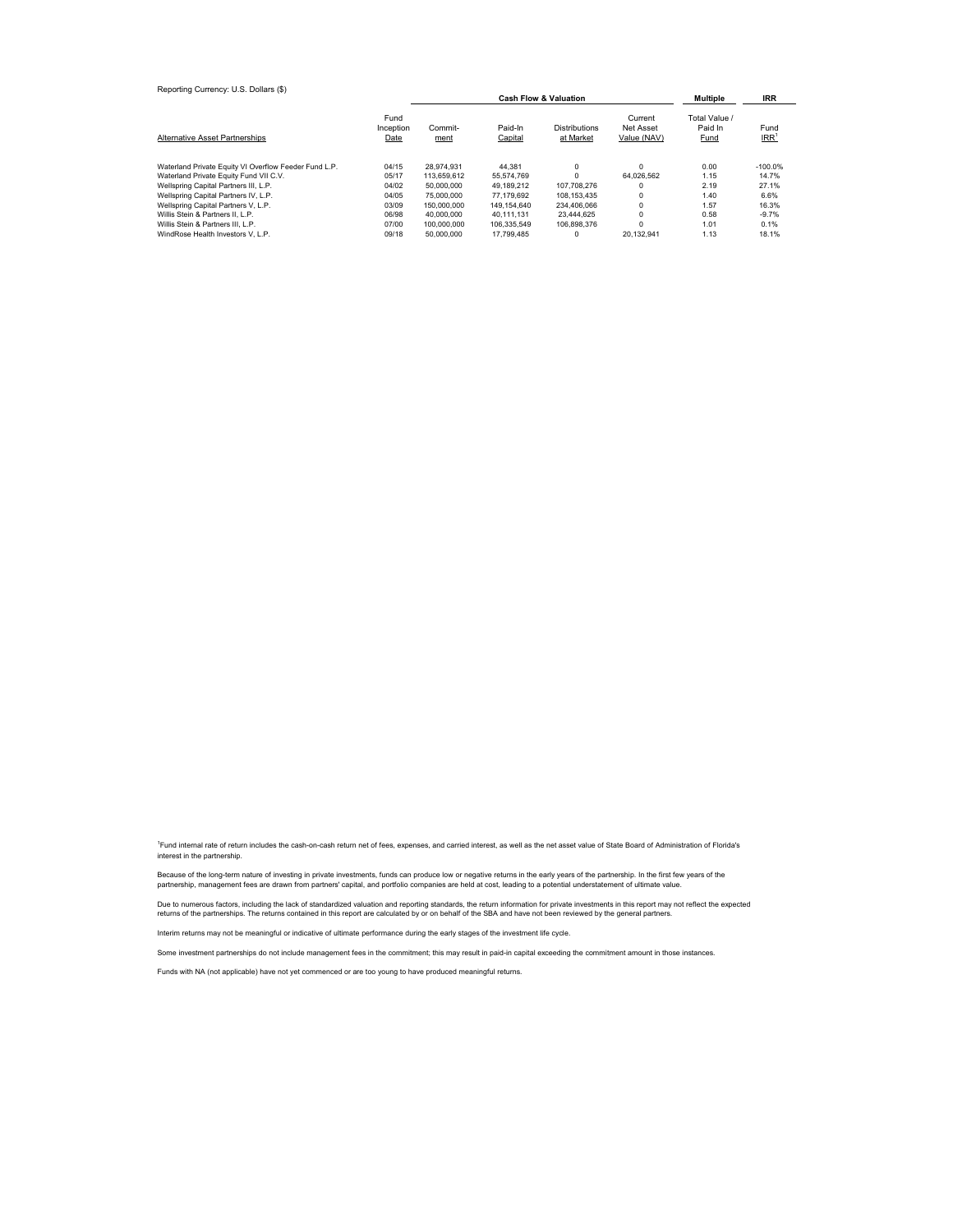| Reporting Currency: U.S. Dollars (\$)                 |                           |                 | <b>Multiple</b>    | IRR                               |                                     |                                  |                          |
|-------------------------------------------------------|---------------------------|-----------------|--------------------|-----------------------------------|-------------------------------------|----------------------------------|--------------------------|
| <b>Alternative Asset Partnerships</b>                 | Fund<br>Inception<br>Date | Commit-<br>ment | Paid-In<br>Capital | <b>Distributions</b><br>at Market | Current<br>Net Asset<br>Value (NAV) | Total Value /<br>Paid In<br>Fund | Fund<br>IRR <sup>1</sup> |
| Waterland Private Equity VI Overflow Feeder Fund L.P. | 04/15                     | 28.974.931      | 44.381             | 0                                 | $\Omega$                            | 0.00                             | $-100.0%$                |
| Waterland Private Equity Fund VII C.V.                | 05/17                     | 113.659.612     | 55.574.769         |                                   | 64.026.562                          | 1.15                             | 14.7%                    |
| Wellspring Capital Partners III, L.P.                 | 04/02                     | 50,000,000      | 49.189.212         | 107.708.276                       | $\Omega$                            | 2.19                             | 27.1%                    |
| Wellspring Capital Partners IV, L.P.                  | 04/05                     | 75,000,000      | 77.179.692         | 108.153.435                       | $\Omega$                            | 1.40                             | 6.6%                     |
| Wellspring Capital Partners V, L.P.                   | 03/09                     | 150,000,000     | 149.154.640        | 234.406.066                       | $\Omega$                            | 1.57                             | 16.3%                    |
| Willis Stein & Partners II. L.P.                      | 06/98                     | 40.000.000      | 40.111.131         | 23.444.625                        | 0                                   | 0.58                             | $-9.7%$                  |
| Willis Stein & Partners III, L.P.                     | 07/00                     | 100.000.000     | 106.335.549        | 106.898.376                       | $\Omega$                            | 1.01                             | 0.1%                     |
| WindRose Health Investors V. L.P.                     | 09/18                     | 50,000,000      | 17.799.485         |                                   | 20.132.941                          | 1.13                             | 18.1%                    |

<sup>1</sup>Fund internal rate of return includes the cash-on-cash return net of fees, expenses, and carried interest, as well as the net asset value of State Board of Administration of Florida's interest in the partnership.

Because of the long-term nature of investing in private investments, funds can produce low or negative returns in the early years of the partnership. In the first few years of the<br>partnership, management fees are drawn fro

Due to numerous factors, including the lack of standardized valuation and reporting standards, the return information for private investments in this report may not reflect the expected returns of the partnerships. The returns contained in this report are calculated by or on behalf of the SBA and have not been reviewed by the general partners.

Interim returns may not be meaningful or indicative of ultimate performance during the early stages of the investment life cycle.

Some investment partnerships do not include management fees in the commitment; this may result in paid-in capital exceeding the commitment amount in those instances.

Funds with NA (not applicable) have not yet commenced or are too young to have produced meaningful returns.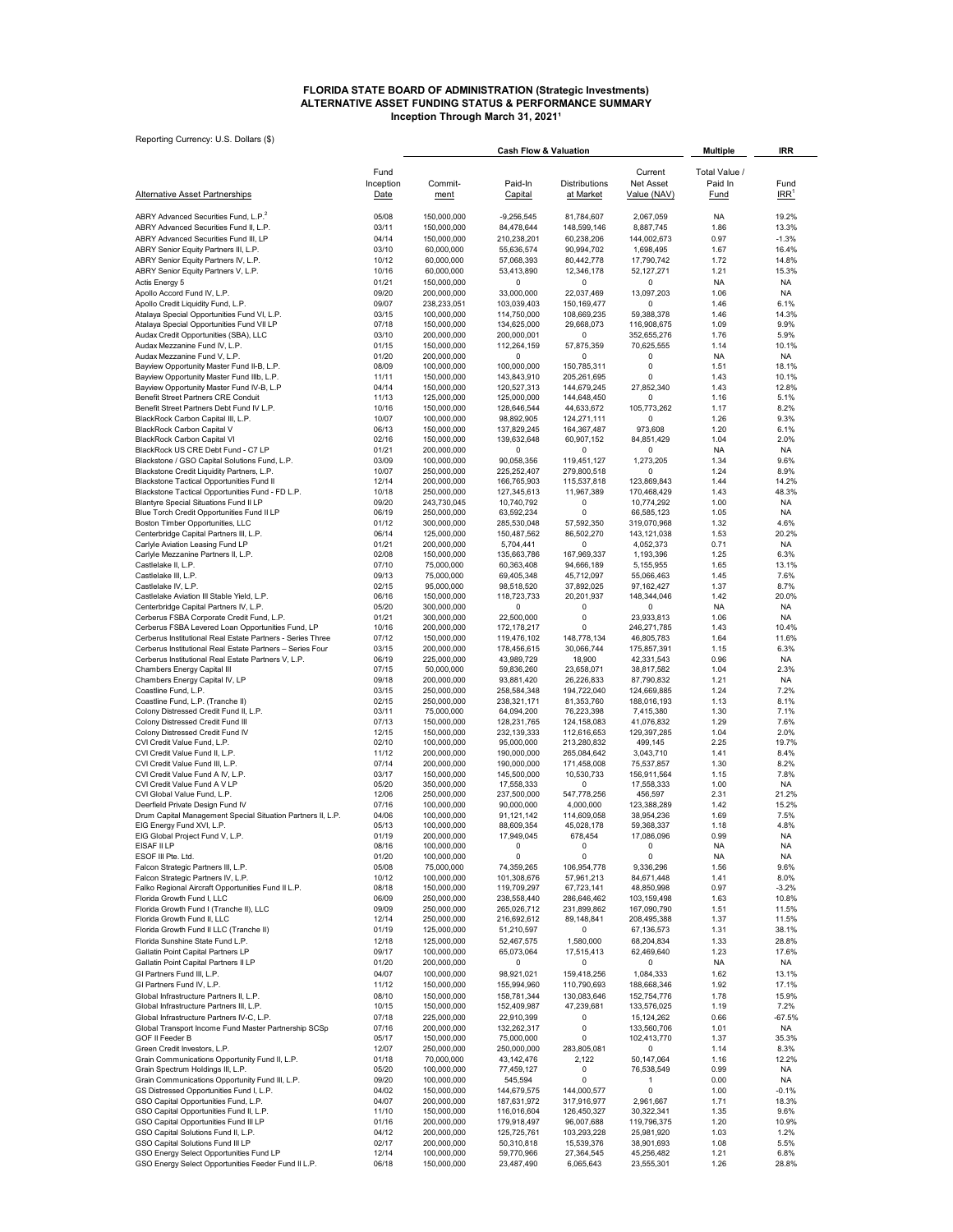## **ALTERNATIVE ASSET FUNDING STATUS & PERFORMANCE SUMMARY Inception Through March 31, 2021<sup>1</sup> FLORIDA STATE BOARD OF ADMINISTRATION (Strategic Investments)**

Reporting Currency: U.S. Dollars (\$)

| Reporting Currency: U.S. Dollars (\$)                                                                            |                   | <b>Cash Flow &amp; Valuation</b> |                            |                                   |                                 | <b>Multiple</b>   | <b>IRR</b>                 |
|------------------------------------------------------------------------------------------------------------------|-------------------|----------------------------------|----------------------------|-----------------------------------|---------------------------------|-------------------|----------------------------|
|                                                                                                                  | Fund              |                                  |                            |                                   | Current                         | Total Value /     |                            |
| <b>Alternative Asset Partnerships</b>                                                                            | Inception<br>Date | Commit-<br>ment                  | Paid-In<br>Capital         | <b>Distributions</b><br>at Market | <b>Net Asset</b><br>Value (NAV) | Paid In<br>Fund   | Fund<br>$IRR$ <sup>1</sup> |
| ABRY Advanced Securities Fund, L.P. <sup>2</sup>                                                                 | 05/08             | 150,000,000                      | $-9,256,545$               | 81,784,607                        | 2,067,059                       | NA                | 19.2%                      |
| ABRY Advanced Securities Fund II, L.P.                                                                           | 03/11             | 150,000,000                      | 84,478,644                 | 148,599,146                       | 8,887,745                       | 1.86              | 13.3%                      |
| ABRY Advanced Securities Fund III, LP                                                                            | 04/14             | 150,000,000                      | 210,238,201                | 60,238,206                        | 144,002,673                     | 0.97              | $-1.3%$                    |
| ABRY Senior Equity Partners III, L.P.                                                                            | 03/10             | 60,000,000                       | 55,636,574                 | 90,994,702                        | 1,698,495                       | 1.67              | 16.4%                      |
| ABRY Senior Equity Partners IV, L.P.                                                                             | 10/12             | 60,000,000                       | 57,068,393                 | 80,442,778                        | 17,790,742                      | 1.72              | 14.8%                      |
| ABRY Senior Equity Partners V, L.P.                                                                              | 10/16             | 60,000,000<br>150,000,000        | 53,413,890<br>0            | 12,346,178                        | 52, 127, 271<br>0               | 1.21              | 15.3%                      |
| Actis Energy 5<br>Apollo Accord Fund IV, L.P.                                                                    | 01/21<br>09/20    | 200,000,000                      | 33,000,000                 | 0<br>22,037,469                   | 13,097,203                      | NA<br>1.06        | NA<br><b>NA</b>            |
| Apollo Credit Liquidity Fund, L.P.                                                                               | 09/07             | 238,233,051                      | 103,039,403                | 150,169,477                       | 0                               | 1.46              | 6.1%                       |
| Atalaya Special Opportunities Fund VI, L.P.                                                                      | 03/15             | 100,000,000                      | 114,750,000                | 108,669,235                       | 59,388,378                      | 1.46              | 14.3%                      |
| Atalaya Special Opportunities Fund VII LP                                                                        | 07/18             | 150,000,000                      | 134,625,000                | 29,668,073                        | 116,908,675                     | 1.09              | 9.9%                       |
| Audax Credit Opportunities (SBA), LLC<br>Audax Mezzanine Fund IV, L.P.                                           | 03/10             | 200,000,000                      | 200,000,001                | $\Omega$                          | 352,655,276                     | 1.76              | 5.9%                       |
| Audax Mezzanine Fund V, L.P.                                                                                     | 01/15<br>01/20    | 150,000,000<br>200,000,000       | 112,264,159<br>0           | 57,875,359<br>0                   | 70,625,555<br>0                 | 1.14<br><b>NA</b> | 10.1%<br>NA                |
| Bayview Opportunity Master Fund II-B, L.P.                                                                       | 08/09             | 100,000,000                      | 100,000,000                | 150,785,311                       | 0                               | 1.51              | 18.1%                      |
| Bayview Opportunity Master Fund IIIb, L.P.                                                                       | 11/11             | 150,000,000                      | 143,843,910                | 205,261,695                       | 0                               | 1.43              | 10.1%                      |
| Bayview Opportunity Master Fund IV-B, L.P                                                                        | 04/14             | 150,000,000                      | 120,527,313                | 144,679,245                       | 27,852,340                      | 1.43              | 12.8%                      |
| Benefit Street Partners CRE Conduit<br>Benefit Street Partners Debt Fund IV L.P.                                 | 11/13<br>10/16    | 125,000,000<br>150,000,000       | 125,000,000                | 144,648,450                       | 0<br>105,773,262                | 1.16              | 5.1%<br>8.2%               |
| BlackRock Carbon Capital III, L.P.                                                                               | 10/07             | 100,000,000                      | 128,646,544<br>98,892,905  | 44,633,672<br>124,271,111         | 0                               | 1.17<br>1.26      | 9.3%                       |
| BlackRock Carbon Capital V                                                                                       | 06/13             | 150,000,000                      | 137,829,245                | 164,367,487                       | 973,608                         | 1.20              | 6.1%                       |
| BlackRock Carbon Capital VI                                                                                      | 02/16             | 150,000,000                      | 139,632,648                | 60,907,152                        | 84,851,429                      | 1.04              | 2.0%                       |
| BlackRock US CRE Debt Fund - C7 LP                                                                               | 01/21             | 200,000,000                      | 0                          | 0                                 | 0                               | NA                | NA                         |
| Blackstone / GSO Capital Solutions Fund, L.P.<br>Blackstone Credit Liquidity Partners, L.P.                      | 03/09             | 100,000,000<br>250,000,000       | 90.058.356<br>225,252,407  | 119,451,127                       | 1,273,205<br>0                  | 1.34              | 9.6%<br>8.9%               |
| Blackstone Tactical Opportunities Fund II                                                                        | 10/07<br>12/14    | 200,000,000                      | 166,765,903                | 279,800,518<br>115,537,818        | 123,869,843                     | 1.24<br>1.44      | 14.2%                      |
| Blackstone Tactical Opportunities Fund - FD L.P.                                                                 | 10/18             | 250,000,000                      | 127,345,613                | 11,967,389                        | 170,468,429                     | 1.43              | 48.3%                      |
| Blantyre Special Situations Fund II LP                                                                           | 09/20             | 243,730,045                      | 10,740,792                 | 0                                 | 10,774,292                      | 1.00              | NA                         |
| Blue Torch Credit Opportunities Fund II LP                                                                       | 06/19             | 250,000,000                      | 63,592,234                 | $\Omega$                          | 66,585,123                      | 1.05              | <b>NA</b>                  |
| Boston Timber Opportunities, LLC<br>Centerbridge Capital Partners III, L.P.                                      | 01/12<br>06/14    | 300,000,000<br>125,000,000       | 285,530,048<br>150,487,562 | 57,592,350<br>86,502,270          | 319,070,968<br>143,121,038      | 1.32              | 4.6%<br>20.2%              |
| Carlyle Aviation Leasing Fund LP                                                                                 | 01/21             | 200,000,000                      | 5,704,441                  | 0                                 | 4,052,373                       | 1.53<br>0.71      | <b>NA</b>                  |
| Carlyle Mezzanine Partners II, L.P.                                                                              | 02/08             | 150,000,000                      | 135,663,786                | 167,969,337                       | 1,193,396                       | 1.25              | 6.3%                       |
| Castlelake II, L.P.                                                                                              | 07/10             | 75,000,000                       | 60,363,408                 | 94,666,189                        | 5,155,955                       | 1.65              | 13.1%                      |
| Castlelake III, L.P.                                                                                             | 09/13             | 75,000,000                       | 69,405,348                 | 45,712,097                        | 55,066,463                      | 1.45              | 7.6%                       |
| Castlelake IV, L.P.                                                                                              | 02/15             | 95,000,000                       | 98,518,520                 | 37,892,025                        | 97,162,427                      | 1.37              | 8.7%                       |
| Castlelake Aviation III Stable Yield, L.P.<br>Centerbridge Capital Partners IV, L.P.                             | 06/16<br>05/20    | 150,000,000<br>300,000,000       | 118,723,733<br>0           | 20,201,937<br>0                   | 148,344,046<br>0                | 1.42<br>NA.       | 20.0%<br>NA                |
| Cerberus FSBA Corporate Credit Fund, L.P.                                                                        | 01/21             | 300,000,000                      | 22,500,000                 | 0                                 | 23,933,813                      | 1.06              | <b>NA</b>                  |
| Cerberus FSBA Levered Loan Opportunities Fund, LP                                                                | 10/16             | 200,000,000                      | 172, 178, 217              | 0                                 | 246,271,785                     | 1.43              | 10.4%                      |
| Cerberus Institutional Real Estate Partners - Series Three                                                       | 07/12             | 150,000,000                      | 119,476,102                | 148,778,134                       | 46,805,783                      | 1.64              | 11.6%                      |
| Cerberus Institutional Real Estate Partners - Series Four<br>Cerberus Institutional Real Estate Partners V, L.P. | 03/15<br>06/19    | 200,000,000<br>225,000,000       | 178,456,615<br>43,989,729  | 30,066,744<br>18,900              | 175,857,391<br>42,331,543       | 1.15<br>0.96      | 6.3%<br>NA                 |
| Chambers Energy Capital III                                                                                      | 07/15             | 50,000,000                       | 59,836,260                 | 23,658,071                        | 38,817,582                      | 1.04              | 2.3%                       |
| Chambers Energy Capital IV, LP                                                                                   | 09/18             | 200,000,000                      | 93,881,420                 | 26,226,833                        | 87,790,832                      | 1.21              | NA                         |
| Coastline Fund, L.P.                                                                                             | 03/15             | 250,000,000                      | 258,584,348                | 194,722,040                       | 124,669,885                     | 1.24              | 7.2%                       |
| Coastline Fund, L.P. (Tranche II)                                                                                | 02/15             | 250,000,000                      | 238,321,171                | 81,353,760                        | 188,016,193                     | 1.13              | 8.1%                       |
| Colony Distressed Credit Fund II, L.P.<br>Colony Distressed Credit Fund III                                      | 03/11<br>07/13    | 75,000,000<br>150,000,000        | 64,094,200<br>128,231,765  | 76,223,398<br>124,158,083         | 7,415,380<br>41,076,832         | 1.30<br>1.29      | 7.1%<br>7.6%               |
| Colony Distressed Credit Fund IV                                                                                 | 12/15             | 150,000,000                      | 232,139,333                | 112,616,653                       | 129,397,285                     | 1.04              | 2.0%                       |
| CVI Credit Value Fund, L.P.                                                                                      | 02/10             | 100,000,000                      | 95,000,000                 | 213,280,832                       | 499,145                         | 2.25              | 19.7%                      |
| CVI Credit Value Fund II, L.P.                                                                                   | 11/12             | 200,000,000                      | 190,000,000                | 265,084,642                       | 3,043,710                       | 1.41              | 8.4%                       |
| CVI Credit Value Fund III, L.P.                                                                                  | 07/14             | 200,000,000                      | 190,000,000                | 171,458,008                       | 75,537,857                      | 1.30              | 8.2%                       |
| CVI Credit Value Fund A IV, L.P.<br>CVI Credit Value Fund A V LP                                                 | 03/17<br>05/20    | 150,000,000<br>350,000,000       | 145,500,000<br>17,558,333  | 10,530,733<br>0                   | 156,911,564<br>17,558,333       | 1.15<br>1.00      | 7.8%<br><b>NA</b>          |
| CVI Global Value Fund, L.P.                                                                                      | 12/06             | 250,000,000                      | 237,500,000                | 547,778,256                       | 456,597                         | 2.31              | 21.2%                      |
| Deerfield Private Design Fund IV                                                                                 | 07/16             | 100,000,000                      | 90,000,000                 | 4,000,000                         | 123,388,289                     | 1.42              | 15.2%                      |
| Drum Capital Management Special Situation Partners II, L.P.                                                      | 04/06             | 100,000,000                      | 91,121,142                 | 114,609,058                       | 38,954,236                      | 1.69              | 7.5%                       |
| EIG Energy Fund XVI, L.P.<br>EIG Global Project Fund V, L.P.                                                     | 05/13<br>01/19    | 100,000,000<br>200,000,000       | 88,609,354<br>17,949,045   | 45,028,178<br>678,454             | 59,368,337<br>17,086,096        | 1.18<br>0.99      | 4.8%<br>ΝA                 |
| EISAF II LP                                                                                                      | 08/16             | 100,000,000                      | 0                          | $\mathsf 0$                       | 0                               | NA                | NA                         |
| ESOF III Pte. Ltd.                                                                                               | 01/20             | 100,000,000                      | 0                          | 0                                 | 0                               | NA                | NA                         |
| Falcon Strategic Partners III, L.P.                                                                              | 05/08             | 75,000,000                       | 74,359,265                 | 106,954,778                       | 9,336,296                       | 1.56              | 9.6%                       |
| Falcon Strategic Partners IV, L.P.<br>Falko Regional Aircraft Opportunities Fund II L.P.                         | 10/12<br>08/18    | 100,000,000<br>150,000,000       | 101,308,676<br>119,709,297 | 57,961,213<br>67,723,141          | 84,671,448<br>48,850,998        | 1.41<br>0.97      | 8.0%<br>$-3.2%$            |
| Florida Growth Fund I, LLC                                                                                       | 06/09             | 250,000,000                      | 238,558,440                | 286,646,462                       | 103,159,498                     | 1.63              | 10.8%                      |
| Florida Growth Fund I (Tranche II), LLC                                                                          | 09/09             | 250,000,000                      | 265,026,712                | 231,899,862                       | 167,090,790                     | 1.51              | 11.5%                      |
| Florida Growth Fund II, LLC                                                                                      | 12/14             | 250,000,000                      | 216,692,612                | 89,148,841                        | 208,495,388                     | 1.37              | 11.5%                      |
| Florida Growth Fund II LLC (Tranche II)                                                                          | 01/19             | 125,000,000                      | 51,210,597                 | 0                                 | 67,136,573                      | 1.31              | 38.1%                      |
| Florida Sunshine State Fund L.P.                                                                                 | 12/18             | 125,000,000                      | 52,467,575                 | 1,580,000                         | 68,204,834                      | 1.33              | 28.8%                      |
| Gallatin Point Capital Partners LP<br>Gallatin Point Capital Partners II LP                                      | 09/17<br>01/20    | 100,000,000<br>200,000,000       | 65,073,064<br>0            | 17,515,413<br>0                   | 62,469,640<br>0                 | 1.23<br>NA        | 17.6%<br>NA                |
| GI Partners Fund III, L.P.                                                                                       | 04/07             | 100,000,000                      | 98,921,021                 | 159,418,256                       | 1,084,333                       | 1.62              | 13.1%                      |
| GI Partners Fund IV, L.P.                                                                                        | 11/12             | 150,000,000                      | 155,994,960                | 110,790,693                       | 188,668,346                     | 1.92              | 17.1%                      |
| Global Infrastructure Partners II, L.P.                                                                          | 08/10             | 150,000,000                      | 158,781,344                | 130,083,646                       | 152,754,776                     | 1.78              | 15.9%                      |
| Global Infrastructure Partners III, L.P.                                                                         | 10/15             | 150,000,000                      | 152,409,987                | 47,239,681                        | 133,576,025                     | 1.19              | 7.2%                       |
| Global Infrastructure Partners IV-C, L.P.                                                                        | 07/18             | 225,000,000                      | 22,910,399                 | 0                                 | 15, 124, 262                    | 0.66              | $-67.5%$                   |
| Global Transport Income Fund Master Partnership SCSp<br>GOF II Feeder B                                          | 07/16<br>05/17    | 200,000,000<br>150,000,000       | 132,262,317<br>75,000,000  | 0<br>0                            | 133,560,706<br>102,413,770      | 1.01              | NA<br>35.3%                |
| Green Credit Investors, L.P.                                                                                     | 12/07             | 250,000,000                      | 250,000,000                | 283,805,081                       | 0                               | 1.37<br>1.14      | 8.3%                       |
| Grain Communications Opportunity Fund II, L.P.                                                                   | 01/18             | 70,000,000                       | 43,142,476                 | 2,122                             | 50,147,064                      | 1.16              | 12.2%                      |
| Grain Spectrum Holdings III, L.P.                                                                                | 05/20             | 100,000,000                      | 77,459,127                 | 0                                 | 76,538,549                      | 0.99              | NA                         |
| Grain Communications Opportunity Fund III, L.P.                                                                  | 09/20             | 100,000,000                      | 545,594                    | 0                                 | 1                               | 0.00              | NA                         |
| GS Distressed Opportunities Fund I, L.P.<br>GSO Capital Opportunities Fund, L.P.                                 | 04/02<br>04/07    | 150,000,000<br>200,000,000       | 144,679,575<br>187,631,972 | 144,000,577<br>317,916,977        | $\mathsf 0$<br>2,961,667        | 1.00<br>1.71      | $-0.1%$<br>18.3%           |
| GSO Capital Opportunities Fund II, L.P.                                                                          | 11/10             | 150,000,000                      | 116,016,604                | 126,450,327                       | 30,322,341                      | 1.35              | 9.6%                       |
| GSO Capital Opportunities Fund III LP                                                                            | 01/16             | 200,000,000                      | 179,918,497                | 96,007,688                        | 119,796,375                     | 1.20              | 10.9%                      |
| GSO Capital Solutions Fund II, L.P.                                                                              | 04/12             | 200,000,000                      | 125,725,761                | 103,293,228                       | 25,981,920                      | 1.03              | 1.2%                       |
| GSO Capital Solutions Fund III LP                                                                                | 02/17             | 200,000,000                      | 50,310,818                 | 15,539,376                        | 38,901,693                      | 1.08              | 5.5%                       |
| GSO Energy Select Opportunities Fund LP<br>GSO Energy Select Opportunities Feeder Fund II L.P.                   | 12/14<br>06/18    | 100,000,000<br>150,000,000       | 59,770,966<br>23,487,490   | 27,364,545<br>6,065,643           | 45,256,482<br>23,555,301        | 1.21<br>1.26      | 6.8%<br>28.8%              |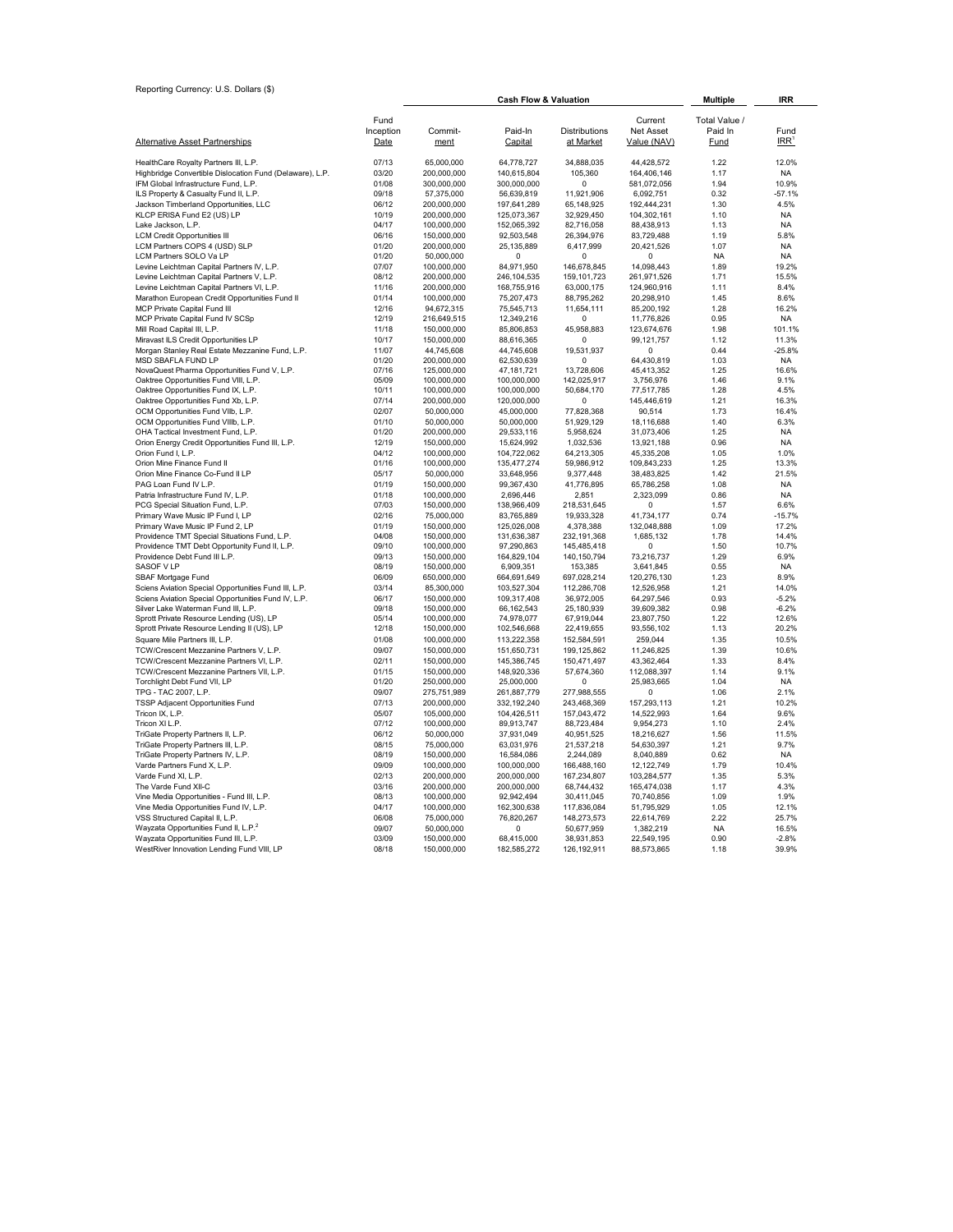Reporting Currency: U.S. Dollars (\$)

| Reporting Currency: U.S. Dollars (\$)                                           |                |                            |                                  |                          |                          |                   |                        |
|---------------------------------------------------------------------------------|----------------|----------------------------|----------------------------------|--------------------------|--------------------------|-------------------|------------------------|
|                                                                                 |                |                            | <b>Cash Flow &amp; Valuation</b> | <b>Multiple</b>          | <b>IRR</b>               |                   |                        |
|                                                                                 | Fund           |                            |                                  |                          | Current                  | Total Value /     |                        |
|                                                                                 | Inception      | Commit-                    | Paid-In                          | <b>Distributions</b>     | <b>Net Asset</b>         | Paid In           | Fund                   |
| <b>Alternative Asset Partnerships</b>                                           | Date           | ment                       | Capital                          | at Market                | Value (NAV)              | <b>Fund</b>       | $IRR$ <sup>1</sup>     |
| HealthCare Royalty Partners III, L.P.                                           | 07/13          | 65,000,000                 | 64,778,727                       | 34,888,035               | 44,428,572               | 1.22              | 12.0%                  |
| Highbridge Convertible Dislocation Fund (Delaware), L.P.                        | 03/20          | 200,000,000                | 140,615,804                      | 105,360                  | 164,406,146              | 1.17              | NA                     |
| IFM Global Infrastructure Fund, L.P.                                            | 01/08          | 300,000,000                | 300,000,000                      | 0                        | 581,072,056              | 1.94              | 10.9%                  |
| ILS Property & Casualty Fund II, L.P.                                           | 09/18          | 57,375,000                 | 56,639,819                       | 11,921,906               | 6,092,751                | 0.32              | $-57.1%$               |
| Jackson Timberland Opportunities, LLC                                           | 06/12          | 200,000,000                | 197,641,289                      | 65,148,925               | 192,444,231              | 1.30              | 4.5%                   |
| KLCP ERISA Fund E2 (US) LP                                                      | 10/19          | 200,000,000                | 125,073,367                      | 32,929,450               | 104,302,161              | 1.10              | <b>NA</b>              |
| Lake Jackson, L.P.                                                              | 04/17          | 100,000,000                | 152,065,392                      | 82,716,058               | 88,438,913               | 1.13              | <b>NA</b>              |
| <b>LCM Credit Opportunities III</b>                                             | 06/16          | 150,000,000                | 92,503,548                       | 26,394,976               | 83,729,488               | 1.19              | 5.8%                   |
| LCM Partners COPS 4 (USD) SLP<br>LCM Partners SOLO Va LP                        | 01/20<br>01/20 | 200,000,000<br>50,000,000  | 25, 135, 889<br>0                | 6,417,999<br>$\mathbf 0$ | 20,421,526<br>0          | 1.07<br><b>NA</b> | <b>NA</b><br><b>NA</b> |
| Levine Leichtman Capital Partners IV, L.P.                                      | 07/07          | 100,000,000                | 84,971,950                       | 146,678,845              | 14,098,443               | 1.89              | 19.2%                  |
| Levine Leichtman Capital Partners V, L.P.                                       | 08/12          | 200,000,000                | 246,104,535                      | 159, 101, 723            | 261,971,526              | 1.71              | 15.5%                  |
| Levine Leichtman Capital Partners VI, L.P.                                      | 11/16          | 200,000,000                | 168,755,916                      | 63,000,175               | 124,960,916              | 1.11              | 8.4%                   |
| Marathon European Credit Opportunities Fund II                                  | 01/14          | 100,000,000                | 75,207,473                       | 88,795,262               | 20,298,910               | 1.45              | 8.6%                   |
| MCP Private Capital Fund III                                                    | 12/16          | 94,672,315                 | 75,545,713                       | 11,654,111               | 85,200,192               | 1.28              | 16.2%                  |
| MCP Private Capital Fund IV SCSp                                                | 12/19          | 216,649,515                | 12,349,216                       | $\Omega$                 | 11,776,826               | 0.95              | <b>NA</b>              |
| Mill Road Capital III, L.P.                                                     | 11/18          | 150,000,000                | 85,806,853                       | 45,958,883               | 123,674,676              | 1.98              | 101.1%                 |
| Miravast ILS Credit Opportunities LP                                            | 10/17          | 150,000,000                | 88,616,365                       | $\Omega$                 | 99,121,757               | 1.12              | 11.3%                  |
| Morgan Stanley Real Estate Mezzanine Fund, L.P.                                 | 11/07          | 44,745,608                 | 44,745,608                       | 19,531,937               | $\Omega$                 | 0.44              | $-25.8%$               |
| MSD SBAFLA FUND LP<br>NovaQuest Pharma Opportunities Fund V, L.P.               | 01/20<br>07/16 | 200,000,000<br>125,000,000 | 62,530,639<br>47,181,721         | $\Omega$<br>13,728,606   | 64,430,819<br>45,413,352 | 1.03<br>1.25      | <b>NA</b><br>16.6%     |
| Oaktree Opportunities Fund VIII, L.P.                                           | 05/09          | 100,000,000                | 100,000,000                      | 142,025,917              | 3,756,976                | 1.46              | 9.1%                   |
| Oaktree Opportunities Fund IX, L.P.                                             | 10/11          | 100,000,000                | 100,000,000                      | 50,684,170               | 77,517,785               | 1.28              | 4.5%                   |
| Oaktree Opportunities Fund Xb, L.P.                                             | 07/14          | 200,000,000                | 120,000,000                      | $\mathbf 0$              | 145,446,619              | 1.21              | 16.3%                  |
| OCM Opportunities Fund VIIb, L.P.                                               | 02/07          | 50,000,000                 | 45,000,000                       | 77,828,368               | 90,514                   | 1.73              | 16.4%                  |
| OCM Opportunities Fund VIIIb, L.P.                                              | 01/10          | 50,000,000                 | 50,000,000                       | 51,929,129               | 18,116,688               | 1.40              | 6.3%                   |
| OHA Tactical Investment Fund, L.P.                                              | 01/20          | 200,000,000                | 29,533,116                       | 5,958,624                | 31,073,406               | 1.25              | <b>NA</b>              |
| Orion Energy Credit Opportunities Fund III, L.P.                                | 12/19          | 150,000,000                | 15,624,992                       | 1,032,536                | 13,921,188               | 0.96              | <b>NA</b>              |
| Orion Fund I, L.P.                                                              | 04/12          | 100,000,000                | 104,722,062                      | 64,213,305               | 45,335,208               | 1.05              | 1.0%                   |
| Orion Mine Finance Fund II                                                      | 01/16          | 100,000,000                | 135,477,274                      | 59,986,912               | 109,843,233              | 1.25              | 13.3%                  |
| Orion Mine Finance Co-Fund II LP                                                | 05/17          | 50,000,000                 | 33,648,956                       | 9,377,448                | 38,483,825               | 1.42              | 21.5%                  |
| PAG Loan Fund IV L.P.                                                           | 01/19          | 150,000,000                | 99,367,430                       | 41,776,895               | 65,786,258               | 1.08              | <b>NA</b>              |
| Patria Infrastructure Fund IV, L.P.<br>PCG Special Situation Fund, L.P.         | 01/18<br>07/03 | 100,000,000<br>150,000,000 | 2,696,446<br>138,966,409         | 2,851<br>218,531,645     | 2,323,099<br>$\Omega$    | 0.86<br>1.57      | NA<br>6.6%             |
| Primary Wave Music IP Fund I, LP                                                | 02/16          | 75,000,000                 | 83,765,889                       | 19,933,328               | 41,734,177               | 0.74              | $-15.7%$               |
| Primary Wave Music IP Fund 2, LP                                                | 01/19          | 150,000,000                | 125,026,008                      | 4,378,388                | 132,048,888              | 1.09              | 17.2%                  |
| Providence TMT Special Situations Fund, L.P.                                    | 04/08          | 150,000,000                | 131,636,387                      | 232,191,368              | 1,685,132                | 1.78              | 14.4%                  |
| Providence TMT Debt Opportunity Fund II, L.P.                                   | 09/10          | 100,000,000                | 97,290,863                       | 145,485,418              | $\Omega$                 | 1.50              | 10.7%                  |
| Providence Debt Fund III L.P.                                                   | 09/13          | 150,000,000                | 164,829,104                      | 140,150,794              | 73,216,737               | 1.29              | 6.9%                   |
| SASOF V LP                                                                      | 08/19          | 150,000,000                | 6,909,351                        | 153,385                  | 3,641,845                | 0.55              | <b>NA</b>              |
| SBAF Mortgage Fund                                                              | 06/09          | 650,000,000                | 664,691,649                      | 697,028,214              | 120,276,130              | 1.23              | 8.9%                   |
| Sciens Aviation Special Opportunities Fund III, L.P.                            | 03/14          | 85,300,000                 | 103,527,304                      | 112,286,708              | 12,526,958               | 1.21              | 14.0%                  |
| Sciens Aviation Special Opportunities Fund IV, L.P.                             | 06/17          | 150,000,000                | 109,317,408                      | 36,972,005               | 64,297,546               | 0.93              | $-5.2%$                |
| Silver Lake Waterman Fund III, L.P.<br>Sprott Private Resource Lending (US), LP | 09/18<br>05/14 | 150,000,000<br>100,000,000 | 66,162,543<br>74,978,077         | 25,180,939               | 39,609,382<br>23,807,750 | 0.98<br>1.22      | $-6.2%$<br>12.6%       |
| Sprott Private Resource Lending II (US), LP                                     | 12/18          | 150,000,000                | 102,546,668                      | 67,919,044<br>22,419,655 | 93,556,102               | 1.13              | 20.2%                  |
| Square Mile Partners III, L.P.                                                  | 01/08          | 100,000,000                | 113,222,358                      | 152,584,591              | 259,044                  | 1.35              | 10.5%                  |
| TCW/Crescent Mezzanine Partners V, L.P.                                         | 09/07          | 150,000,000                | 151,650,731                      | 199, 125, 862            | 11,246,825               | 1.39              | 10.6%                  |
| TCW/Crescent Mezzanine Partners VI. L.P.                                        | 02/11          | 150,000,000                | 145,386,745                      | 150.471.497              | 43,362,464               | 1.33              | 8.4%                   |
| TCW/Crescent Mezzanine Partners VII, L.P.                                       | 01/15          | 150,000,000                | 148,920,336                      | 57,674,360               | 112,088,397              | 1.14              | 9.1%                   |
| Torchlight Debt Fund VII, LP                                                    | 01/20          | 250,000,000                | 25,000,000                       | 0                        | 25,983,665               | 1.04              | NA                     |
| TPG - TAC 2007, L.P.                                                            | 09/07          | 275,751,989                | 261,887,779                      | 277,988,555              | $\Omega$                 | 1.06              | 2.1%                   |
| TSSP Adjacent Opportunities Fund                                                | 07/13          | 200,000,000                | 332,192,240                      | 243,468,369              | 157,293,113              | 1.21              | 10.2%                  |
| Tricon IX, L.P.                                                                 | 05/07          | 105,000,000                | 104,426,511                      | 157,043,472              | 14,522,993               | 1.64              | 9.6%                   |
| Tricon XI L.P.                                                                  | 07/12          | 100,000,000                | 89,913,747                       | 88,723,484               | 9,954,273                | 1.10              | 2.4%                   |
| TriGate Property Partners II, L.P.                                              | 06/12          | 50,000,000                 | 37,931,049                       | 40,951,525               | 18,216,627               | 1.56              | 11.5%                  |
| TriGate Property Partners III, L.P.                                             | 08/15          | 75,000,000                 | 63,031,976                       | 21,537,218               | 54,630,397               | 1.21              | 9.7%                   |
| TriGate Property Partners IV, L.P.<br>Varde Partners Fund X, L.P.               | 08/19<br>09/09 | 150,000,000                | 16,584,086<br>100,000,000        | 2,244,089<br>166,488,160 | 8,040,889<br>12,122,749  | 0.62<br>1.79      | <b>NA</b><br>10.4%     |
| Varde Fund XI, L.P.                                                             | 02/13          | 100,000,000<br>200,000,000 | 200,000,000                      | 167,234,807              | 103,284,577              | 1.35              | 5.3%                   |
| The Varde Fund XII-C                                                            | 03/16          | 200,000,000                | 200,000,000                      | 68,744,432               | 165,474,038              | 1.17              | 4.3%                   |
| Vine Media Opportunities - Fund III, L.P.                                       | 08/13          | 100,000,000                | 92,942,494                       | 30,411,045               | 70,740,856               | 1.09              | 1.9%                   |
| Vine Media Opportunities Fund IV, L.P.                                          | 04/17          | 100,000,000                | 162,300,638                      | 117,836,084              | 51,795,929               | 1.05              | 12.1%                  |
| VSS Structured Capital II, L.P.                                                 | 06/08          | 75,000,000                 | 76,820,267                       | 148,273,573              | 22,614,769               | 2.22              | 25.7%                  |
| Wayzata Opportunities Fund II, L.P. <sup>2</sup>                                | 09/07          | 50,000,000                 | $\Omega$                         | 50,677,959               | 1,382,219                | <b>NA</b>         | 16.5%                  |
| Wayzata Opportunities Fund III, L.P.                                            | 03/09          | 150,000,000                | 68,415,000                       | 38,931,853               | 22,549,195               | 0.90              | $-2.8%$                |
| WestRiver Innovation Lending Fund VIII, LP                                      | 08/18          | 150.000.000                | 182.585.272                      | 126.192.911              | 88.573.865               | 1.18              | 39.9%                  |